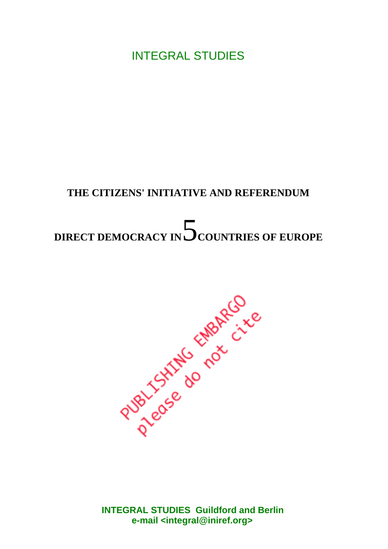INTEGRAL STUDIES

# **THE CITIZENS' INITIATIVE AND REFERENDUM**

# DIRECT DEMOCRACY IN **S**COUNTRIES OF EUROPE



**INTEGRAL STUDIES Guildford and Berlin e-mail [<integral@iniref.org>](mailto:integral@iniref.org)**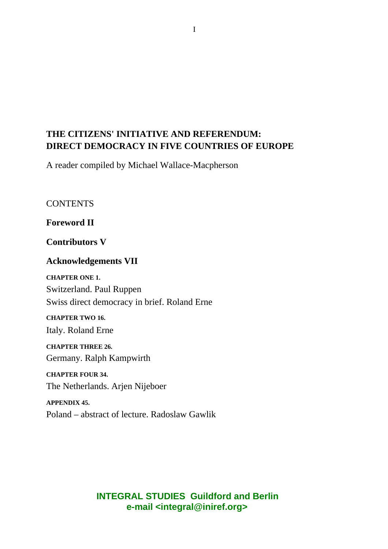# **THE CITIZENS' INITIATIVE AND REFERENDUM: DIRECT DEMOCRACY IN FIVE COUNTRIES OF EUROPE**

A reader compiled by Michael Wallace-Macpherson

**CONTENTS** 

**Foreword II**

**Contributors V**

#### **Acknowledgements VII**

**CHAPTER ONE 1.**

Switzerland. Paul Ruppen Swiss direct democracy in brief. Roland Erne

**CHAPTER TWO 16.**

Italy. Roland Erne

**CHAPTER THREE 26.** Germany. Ralph Kampwirth

**CHAPTER FOUR 34.** The Netherlands. Arjen Nijeboer

**APPENDIX 45.** Poland – abstract of lecture. Radoslaw Gawlik

#### **INTEGRAL STUDIES Guildford and Berlin e-mail [<integral@iniref.org>](mailto:integral@iniref.org)**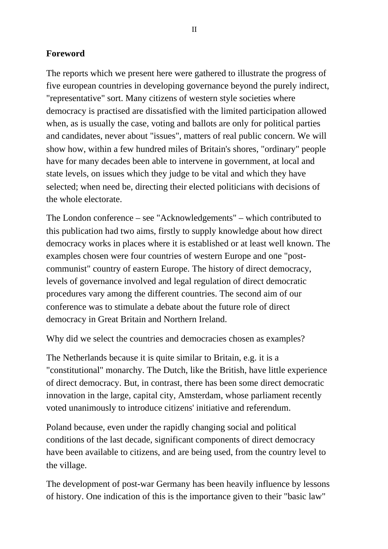#### **Foreword**

The reports which we present here were gathered to illustrate the progress of five european countries in developing governance beyond the purely indirect, "representative" sort. Many citizens of western style societies where democracy is practised are dissatisfied with the limited participation allowed when, as is usually the case, voting and ballots are only for political parties and candidates, never about "issues", matters of real public concern. We will show how, within a few hundred miles of Britain's shores, "ordinary" people have for many decades been able to intervene in government, at local and state levels, on issues which they judge to be vital and which they have selected; when need be, directing their elected politicians with decisions of the whole electorate.

The London conference – see "Acknowledgements" – which contributed to this publication had two aims, firstly to supply knowledge about how direct democracy works in places where it is established or at least well known. The examples chosen were four countries of western Europe and one "postcommunist" country of eastern Europe. The history of direct democracy, levels of governance involved and legal regulation of direct democratic procedures vary among the different countries. The second aim of our conference was to stimulate a debate about the future role of direct democracy in Great Britain and Northern Ireland.

Why did we select the countries and democracies chosen as examples?

The Netherlands because it is quite similar to Britain, e.g. it is a "constitutional" monarchy. The Dutch, like the British, have little experience of direct democracy. But, in contrast, there has been some direct democratic innovation in the large, capital city, Amsterdam, whose parliament recently voted unanimously to introduce citizens' initiative and referendum.

Poland because, even under the rapidly changing social and political conditions of the last decade, significant components of direct democracy have been available to citizens, and are being used, from the country level to the village.

The development of post-war Germany has been heavily influence by lessons of history. One indication of this is the importance given to their "basic law"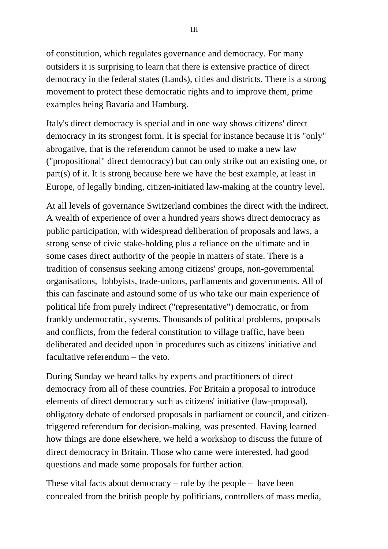of constitution, which regulates governance and democracy. For many outsiders it is surprising to learn that there is extensive practice of direct democracy in the federal states (Lands), cities and districts. There is a strong movement to protect these democratic rights and to improve them, prime examples being Bavaria and Hamburg.

Italy's direct democracy is special and in one way shows citizens' direct democracy in its strongest form. It is special for instance because it is "only" abrogative, that is the referendum cannot be used to make a new law ("propositional" direct democracy) but can only strike out an existing one, or part(s) of it. It is strong because here we have the best example, at least in Europe, of legally binding, citizen-initiated law-making at the country level.

At all levels of governance Switzerland combines the direct with the indirect. A wealth of experience of over a hundred years shows direct democracy as public participation, with widespread deliberation of proposals and laws, a strong sense of civic stake-holding plus a reliance on the ultimate and in some cases direct authority of the people in matters of state. There is a tradition of consensus seeking among citizens' groups, non-governmental organisations, lobbyists, trade-unions, parliaments and governments. All of this can fascinate and astound some of us who take our main experience of political life from purely indirect ("representative") democratic, or from frankly undemocratic, systems. Thousands of political problems, proposals and conflicts, from the federal constitution to village traffic, have been deliberated and decided upon in procedures such as citizens' initiative and facultative referendum – the veto.

During Sunday we heard talks by experts and practitioners of direct democracy from all of these countries. For Britain a proposal to introduce elements of direct democracy such as citizens' initiative (law-proposal), obligatory debate of endorsed proposals in parliament or council, and citizentriggered referendum for decision-making, was presented. Having learned how things are done elsewhere, we held a workshop to discuss the future of direct democracy in Britain. Those who came were interested, had good questions and made some proposals for further action.

These vital facts about democracy – rule by the people – have been concealed from the british people by politicians, controllers of mass media,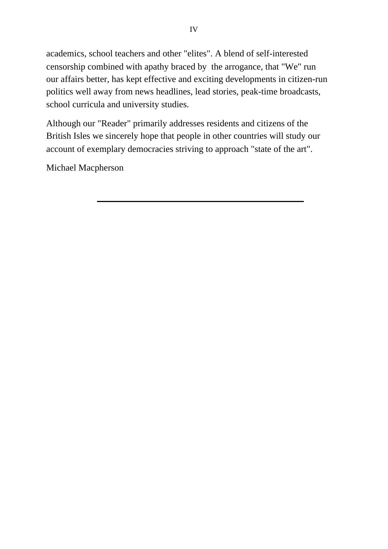academics, school teachers and other "elites". A blend of self-interested censorship combined with apathy braced by the arrogance, that "We" run our affairs better, has kept effective and exciting developments in citizen-run politics well away from news headlines, lead stories, peak-time broadcasts, school curricula and university studies.

Although our "Reader" primarily addresses residents and citizens of the British Isles we sincerely hope that people in other countries will study our account of exemplary democracies striving to approach "state of the art".

Michael Macpherson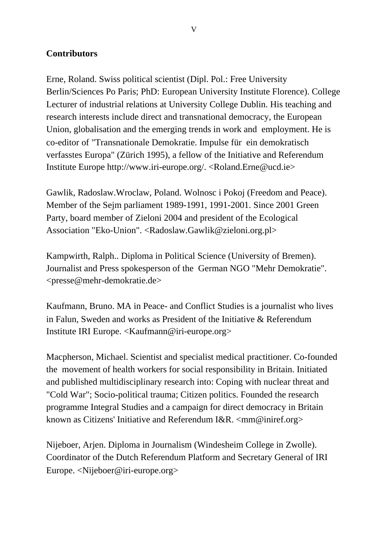#### **Contributors**

Erne, Roland. Swiss political scientist (Dipl. Pol.: Free University Berlin/Sciences Po Paris; PhD: European University Institute Florence). College Lecturer of industrial relations at University College Dublin. His teaching and research interests include direct and transnational democracy, the European Union, globalisation and the emerging trends in work and employment. He is co-editor of "Transnationale Demokratie. Impulse für ein demokratisch verfasstes Europa" (Zürich 1995), a fellow of the Initiative and Referendum Institute Europe [http://www.iri-europe.org/.](http://www.iri-europe.org/) [<Roland.Erne@ucd.ie>](mailto:Roland.Erne@ucd.ie)

Gawlik, Radoslaw.Wroclaw, Poland. Wolnosc i Pokoj (Freedom and Peace). Member of the Sejm parliament 1989-1991, 1991-2001. Since 2001 Green Party, board member of Zieloni 2004 and president of the Ecological Association "Eko-Union". [<Radoslaw.Gawlik@zieloni.org.pl>](mailto:Radoslaw.Gawlik@zieloni.org.pl)

Kampwirth, Ralph.. Diploma in Political Science (University of Bremen). Journalist and Press spokesperson of the German NGO "Mehr Demokratie". [<presse@mehr-demokratie.de>](mailto:presse@mehr-demokratie.de)

Kaufmann, Bruno. MA in Peace- and Conflict Studies is a journalist who lives in Falun, Sweden and works as President of the Initiative & Referendum Institute IRI Europe. [<Kaufmann@iri-europe.org>](mailto:Kaufmann@iri-europe.org)

Macpherson, Michael. Scientist and specialist medical practitioner. Co-founded the movement of health workers for social responsibility in Britain. Initiated and published multidisciplinary research into: Coping with nuclear threat and "Cold War"; Socio-political trauma; Citizen politics. Founded the research programme Integral Studies and a campaign for direct democracy in Britain known as Citizens' Initiative and Referendum I&R. [<mm@iniref.org>](mailto:mm@iniref.org)

Nijeboer, Arjen. Diploma in Journalism (Windesheim College in Zwolle). Coordinator of the Dutch Referendum Platform and Secretary General of IRI Europe. [<Nijeboer@iri-europe.org>](mailto:Nijeboer@iri-europe.org)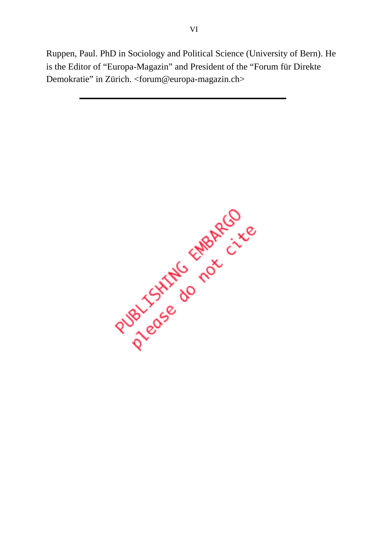Ruppen, Paul. PhD in Sociology and Political Science (University of Bern). He is the Editor of "Europa-Magazin" and President of the "Forum für Direkte Demokratie" in Zürich. [<forum@europa-magazin.ch>](mailto:forum@europa-magazin.ch)

Puedie do not circo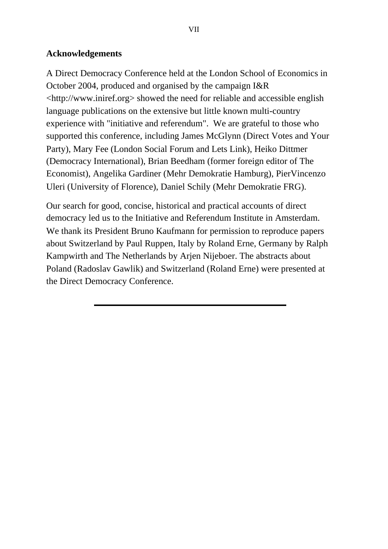#### **Acknowledgements**

A Direct Democracy Conference held at the London School of Economics in October 2004, produced and organised by the campaign I&R [<http://www.iniref.org>](http://www.iniref.org) showed the need for reliable and accessible english language publications on the extensive but little known multi-country experience with "initiative and referendum". We are grateful to those who supported this conference, including James McGlynn (Direct Votes and Your Party), Mary Fee (London Social Forum and Lets Link), Heiko Dittmer (Democracy International), Brian Beedham (former foreign editor of The Economist), Angelika Gardiner (Mehr Demokratie Hamburg), PierVincenzo Uleri (University of Florence), Daniel Schily (Mehr Demokratie FRG).

Our search for good, concise, historical and practical accounts of direct democracy led us to the Initiative and Referendum Institute in Amsterdam. We thank its President Bruno Kaufmann for permission to reproduce papers about Switzerland by Paul Ruppen, Italy by Roland Erne, Germany by Ralph Kampwirth and The Netherlands by Arjen Nijeboer. The abstracts about Poland (Radoslav Gawlik) and Switzerland (Roland Erne) were presented at the Direct Democracy Conference.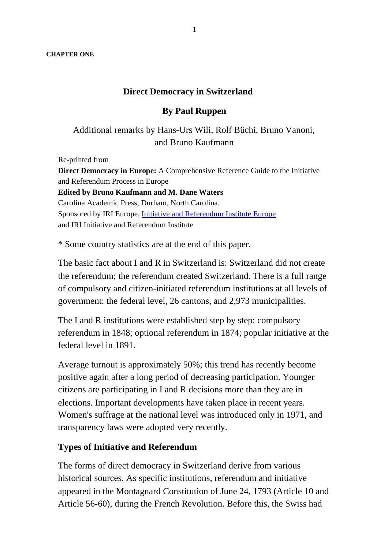**CHAPTER ONE**

#### **Direct Democracy in Switzerland**

#### **By Paul Ruppen**

Additional remarks by Hans-Urs Wili, Rolf Büchi, Bruno Vanoni, and Bruno Kaufmann

Re-printed from **Direct Democracy in Europe:** A Comprehensive Reference Guide to the Initiative and Referendum Process in Europe **Edited by Bruno Kaufmann and M. Dane Waters** Carolina Academic Press, Durham, North Carolina. Sponsored by IRI Europe, Initiative and Referendum Institute Europe and IRI Initiative and Referendum Institute

\* Some country statistics are at the end of this paper.

The basic fact about I and R in Switzerland is: Switzerland did not create the referendum; the referendum created Switzerland. There is a full range of compulsory and citizen-initiated referendum institutions at all levels of government: the federal level, 26 cantons, and 2,973 municipalities.

The I and R institutions were established step by step: compulsory referendum in 1848; optional referendum in 1874; popular initiative at the federal level in 1891.

Average turnout is approximately 50%; this trend has recently become positive again after a long period of decreasing participation. Younger citizens are participating in I and R decisions more than they are in elections. Important developments have taken place in recent years. Women's suffrage at the national level was introduced only in 1971, and transparency laws were adopted very recently.

#### **Types of Initiative and Referendum**

The forms of direct democracy in Switzerland derive from various historical sources. As specific institutions, referendum and initiative appeared in the Montagnard Constitution of June 24, 1793 (Article 10 and Article 56-60), during the French Revolution. Before this, the Swiss had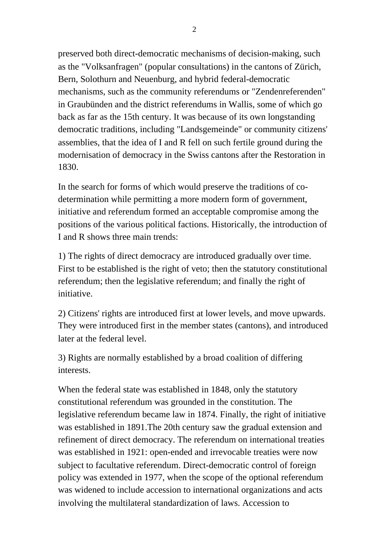preserved both direct-democratic mechanisms of decision-making, such as the "Volksanfragen" (popular consultations) in the cantons of Zürich, Bern, Solothurn and Neuenburg, and hybrid federal-democratic mechanisms, such as the community referendums or "Zendenreferenden" in Graubünden and the district referendums in Wallis, some of which go back as far as the 15th century. It was because of its own longstanding democratic traditions, including "Landsgemeinde" or community citizens' assemblies, that the idea of I and R fell on such fertile ground during the modernisation of democracy in the Swiss cantons after the Restoration in 1830.

In the search for forms of which would preserve the traditions of codetermination while permitting a more modern form of government, initiative and referendum formed an acceptable compromise among the positions of the various political factions. Historically, the introduction of I and R shows three main trends:

1) The rights of direct democracy are introduced gradually over time. First to be established is the right of veto; then the statutory constitutional referendum; then the legislative referendum; and finally the right of initiative.

2) Citizens' rights are introduced first at lower levels, and move upwards. They were introduced first in the member states (cantons), and introduced later at the federal level.

3) Rights are normally established by a broad coalition of differing interests.

When the federal state was established in 1848, only the statutory constitutional referendum was grounded in the constitution. The legislative referendum became law in 1874. Finally, the right of initiative was established in 1891.The 20th century saw the gradual extension and refinement of direct democracy. The referendum on international treaties was established in 1921: open-ended and irrevocable treaties were now subject to facultative referendum. Direct-democratic control of foreign policy was extended in 1977, when the scope of the optional referendum was widened to include accession to international organizations and acts involving the multilateral standardization of laws. Accession to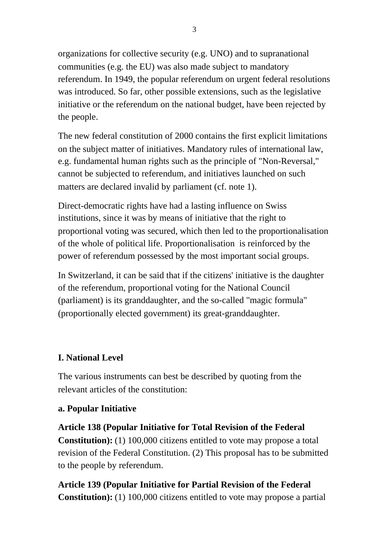organizations for collective security (e.g. UNO) and to supranational communities (e.g. the EU) was also made subject to mandatory referendum. In 1949, the popular referendum on urgent federal resolutions was introduced. So far, other possible extensions, such as the legislative initiative or the referendum on the national budget, have been rejected by the people.

The new federal constitution of 2000 contains the first explicit limitations on the subject matter of initiatives. Mandatory rules of international law, e.g. fundamental human rights such as the principle of "Non-Reversal," cannot be subjected to referendum, and initiatives launched on such matters are declared invalid by parliament (cf. note 1).

Direct-democratic rights have had a lasting influence on Swiss institutions, since it was by means of initiative that the right to proportional voting was secured, which then led to the proportionalisation of the whole of political life. Proportionalisation is reinforced by the power of referendum possessed by the most important social groups.

In Switzerland, it can be said that if the citizens' initiative is the daughter of the referendum, proportional voting for the National Council (parliament) is its granddaughter, and the so-called "magic formula" (proportionally elected government) its great-granddaughter.

#### **I. National Level**

The various instruments can best be described by quoting from the relevant articles of the constitution:

#### **a. Popular Initiative**

**Article 138 (Popular Initiative for Total Revision of the Federal Constitution):** (1) 100,000 citizens entitled to vote may propose a total revision of the Federal Constitution. (2) This proposal has to be submitted to the people by referendum.

**Article 139 (Popular Initiative for Partial Revision of the Federal Constitution):** (1) 100,000 citizens entitled to vote may propose a partial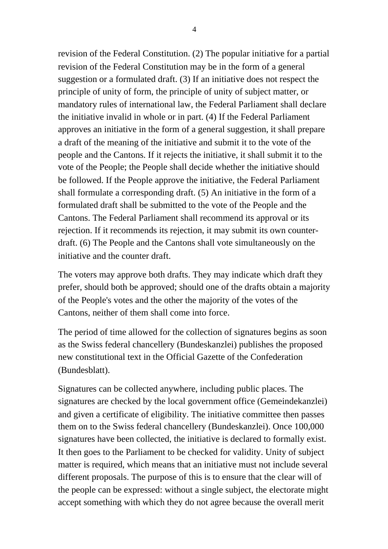revision of the Federal Constitution. (2) The popular initiative for a partial revision of the Federal Constitution may be in the form of a general suggestion or a formulated draft. (3) If an initiative does not respect the principle of unity of form, the principle of unity of subject matter, or mandatory rules of international law, the Federal Parliament shall declare the initiative invalid in whole or in part. (4) If the Federal Parliament approves an initiative in the form of a general suggestion, it shall prepare a draft of the meaning of the initiative and submit it to the vote of the people and the Cantons. If it rejects the initiative, it shall submit it to the vote of the People; the People shall decide whether the initiative should be followed. If the People approve the initiative, the Federal Parliament shall formulate a corresponding draft. (5) An initiative in the form of a formulated draft shall be submitted to the vote of the People and the Cantons. The Federal Parliament shall recommend its approval or its rejection. If it recommends its rejection, it may submit its own counterdraft. (6) The People and the Cantons shall vote simultaneously on the initiative and the counter draft.

The voters may approve both drafts. They may indicate which draft they prefer, should both be approved; should one of the drafts obtain a majority of the People's votes and the other the majority of the votes of the Cantons, neither of them shall come into force.

The period of time allowed for the collection of signatures begins as soon as the Swiss federal chancellery (Bundeskanzlei) publishes the proposed new constitutional text in the Official Gazette of the Confederation (Bundesblatt).

Signatures can be collected anywhere, including public places. The signatures are checked by the local government office (Gemeindekanzlei) and given a certificate of eligibility. The initiative committee then passes them on to the Swiss federal chancellery (Bundeskanzlei). Once 100,000 signatures have been collected, the initiative is declared to formally exist. It then goes to the Parliament to be checked for validity. Unity of subject matter is required, which means that an initiative must not include several different proposals. The purpose of this is to ensure that the clear will of the people can be expressed: without a single subject, the electorate might accept something with which they do not agree because the overall merit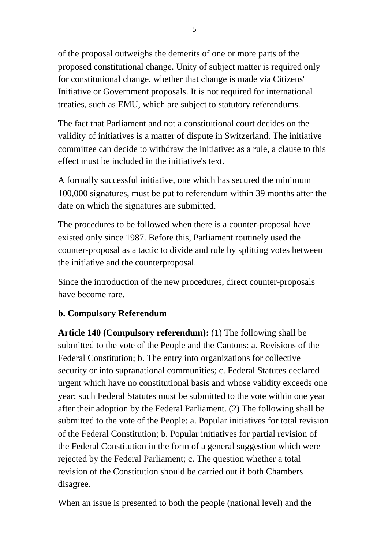of the proposal outweighs the demerits of one or more parts of the proposed constitutional change. Unity of subject matter is required only for constitutional change, whether that change is made via Citizens' Initiative or Government proposals. It is not required for international treaties, such as EMU, which are subject to statutory referendums.

The fact that Parliament and not a constitutional court decides on the validity of initiatives is a matter of dispute in Switzerland. The initiative committee can decide to withdraw the initiative: as a rule, a clause to this effect must be included in the initiative's text.

A formally successful initiative, one which has secured the minimum 100,000 signatures, must be put to referendum within 39 months after the date on which the signatures are submitted.

The procedures to be followed when there is a counter-proposal have existed only since 1987. Before this, Parliament routinely used the counter-proposal as a tactic to divide and rule by splitting votes between the initiative and the counterproposal.

Since the introduction of the new procedures, direct counter-proposals have become rare.

## **b. Compulsory Referendum**

**Article 140 (Compulsory referendum):** (1) The following shall be submitted to the vote of the People and the Cantons: a. Revisions of the Federal Constitution; b. The entry into organizations for collective security or into supranational communities; c. Federal Statutes declared urgent which have no constitutional basis and whose validity exceeds one year; such Federal Statutes must be submitted to the vote within one year after their adoption by the Federal Parliament. (2) The following shall be submitted to the vote of the People: a. Popular initiatives for total revision of the Federal Constitution; b. Popular initiatives for partial revision of the Federal Constitution in the form of a general suggestion which were rejected by the Federal Parliament; c. The question whether a total revision of the Constitution should be carried out if both Chambers disagree.

When an issue is presented to both the people (national level) and the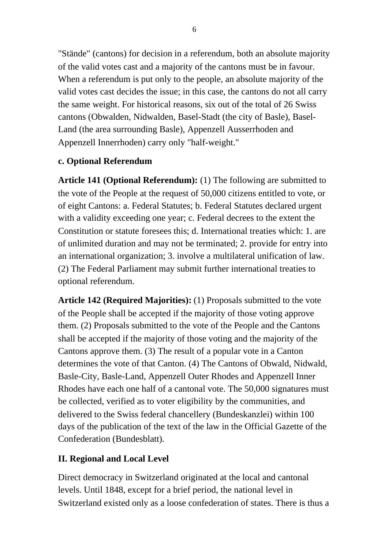"Stände" (cantons) for decision in a referendum, both an absolute majority of the valid votes cast and a majority of the cantons must be in favour. When a referendum is put only to the people, an absolute majority of the valid votes cast decides the issue; in this case, the cantons do not all carry the same weight. For historical reasons, six out of the total of 26 Swiss cantons (Obwalden, Nidwalden, Basel-Stadt (the city of Basle), Basel-Land (the area surrounding Basle), Appenzell Ausserrhoden and Appenzell Innerrhoden) carry only "half-weight."

## **c. Optional Referendum**

**Article 141 (Optional Referendum):** (1) The following are submitted to the vote of the People at the request of 50,000 citizens entitled to vote, or of eight Cantons: a. Federal Statutes; b. Federal Statutes declared urgent with a validity exceeding one year; c. Federal decrees to the extent the Constitution or statute foresees this; d. International treaties which: 1. are of unlimited duration and may not be terminated; 2. provide for entry into an international organization; 3. involve a multilateral unification of law. (2) The Federal Parliament may submit further international treaties to optional referendum.

**Article 142 (Required Majorities):** (1) Proposals submitted to the vote of the People shall be accepted if the majority of those voting approve them. (2) Proposals submitted to the vote of the People and the Cantons shall be accepted if the majority of those voting and the majority of the Cantons approve them. (3) The result of a popular vote in a Canton determines the vote of that Canton. (4) The Cantons of Obwald, Nidwald, Basle-City, Basle-Land, Appenzell Outer Rhodes and Appenzell Inner Rhodes have each one half of a cantonal vote. The 50,000 signatures must be collected, verified as to voter eligibility by the communities, and delivered to the Swiss federal chancellery (Bundeskanzlei) within 100 days of the publication of the text of the law in the Official Gazette of the Confederation (Bundesblatt).

## **II. Regional and Local Level**

Direct democracy in Switzerland originated at the local and cantonal levels. Until 1848, except for a brief period, the national level in Switzerland existed only as a loose confederation of states. There is thus a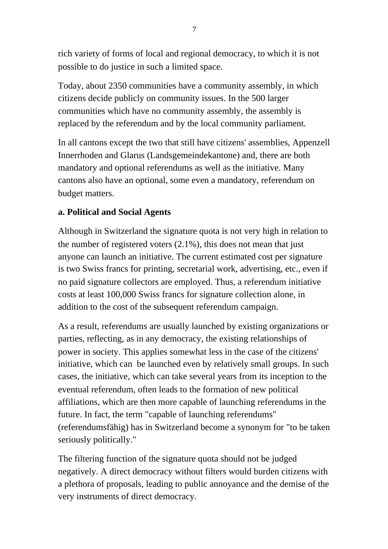rich variety of forms of local and regional democracy, to which it is not possible to do justice in such a limited space.

Today, about 2350 communities have a community assembly, in which citizens decide publicly on community issues. In the 500 larger communities which have no community assembly, the assembly is replaced by the referendum and by the local community parliament.

In all cantons except the two that still have citizens' assemblies, Appenzell Innerrhoden and Glarus (Landsgemeindekantone) and, there are both mandatory and optional referendums as well as the initiative. Many cantons also have an optional, some even a mandatory, referendum on budget matters.

## **a. Political and Social Agents**

Although in Switzerland the signature quota is not very high in relation to the number of registered voters (2.1%), this does not mean that just anyone can launch an initiative. The current estimated cost per signature is two Swiss francs for printing, secretarial work, advertising, etc., even if no paid signature collectors are employed. Thus, a referendum initiative costs at least 100,000 Swiss francs for signature collection alone, in addition to the cost of the subsequent referendum campaign.

As a result, referendums are usually launched by existing organizations or parties, reflecting, as in any democracy, the existing relationships of power in society. This applies somewhat less in the case of the citizens' initiative, which can be launched even by relatively small groups. In such cases, the initiative, which can take several years from its inception to the eventual referendum, often leads to the formation of new political affiliations, which are then more capable of launching referendums in the future. In fact, the term "capable of launching referendums" (referendumsfähig) has in Switzerland become a synonym for "to be taken seriously politically."

The filtering function of the signature quota should not be judged negatively. A direct democracy without filters would burden citizens with a plethora of proposals, leading to public annoyance and the demise of the very instruments of direct democracy.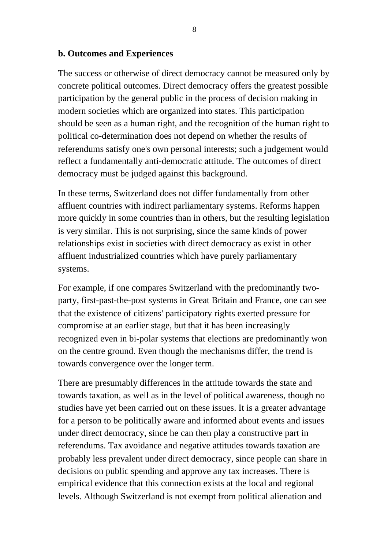#### **b. Outcomes and Experiences**

The success or otherwise of direct democracy cannot be measured only by concrete political outcomes. Direct democracy offers the greatest possible participation by the general public in the process of decision making in modern societies which are organized into states. This participation should be seen as a human right, and the recognition of the human right to political co-determination does not depend on whether the results of referendums satisfy one's own personal interests; such a judgement would reflect a fundamentally anti-democratic attitude. The outcomes of direct democracy must be judged against this background.

In these terms, Switzerland does not differ fundamentally from other affluent countries with indirect parliamentary systems. Reforms happen more quickly in some countries than in others, but the resulting legislation is very similar. This is not surprising, since the same kinds of power relationships exist in societies with direct democracy as exist in other affluent industrialized countries which have purely parliamentary systems.

For example, if one compares Switzerland with the predominantly twoparty, first-past-the-post systems in Great Britain and France, one can see that the existence of citizens' participatory rights exerted pressure for compromise at an earlier stage, but that it has been increasingly recognized even in bi-polar systems that elections are predominantly won on the centre ground. Even though the mechanisms differ, the trend is towards convergence over the longer term.

There are presumably differences in the attitude towards the state and towards taxation, as well as in the level of political awareness, though no studies have yet been carried out on these issues. It is a greater advantage for a person to be politically aware and informed about events and issues under direct democracy, since he can then play a constructive part in referendums. Tax avoidance and negative attitudes towards taxation are probably less prevalent under direct democracy, since people can share in decisions on public spending and approve any tax increases. There is empirical evidence that this connection exists at the local and regional levels. Although Switzerland is not exempt from political alienation and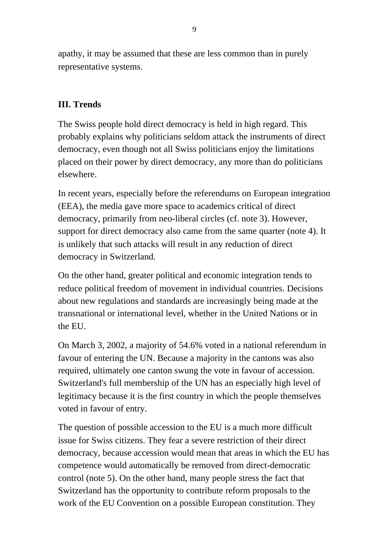apathy, it may be assumed that these are less common than in purely representative systems.

#### **III. Trends**

The Swiss people hold direct democracy is held in high regard. This probably explains why politicians seldom attack the instruments of direct democracy, even though not all Swiss politicians enjoy the limitations placed on their power by direct democracy, any more than do politicians elsewhere.

In recent years, especially before the referendums on European integration (EEA), the media gave more space to academics critical of direct democracy, primarily from neo-liberal circles (cf. note 3). However, support for direct democracy also came from the same quarter (note 4). It is unlikely that such attacks will result in any reduction of direct democracy in Switzerland.

On the other hand, greater political and economic integration tends to reduce political freedom of movement in individual countries. Decisions about new regulations and standards are increasingly being made at the transnational or international level, whether in the United Nations or in the EU.

On March 3, 2002, a majority of 54.6% voted in a national referendum in favour of entering the UN. Because a majority in the cantons was also required, ultimately one canton swung the vote in favour of accession. Switzerland's full membership of the UN has an especially high level of legitimacy because it is the first country in which the people themselves voted in favour of entry.

The question of possible accession to the EU is a much more difficult issue for Swiss citizens. They fear a severe restriction of their direct democracy, because accession would mean that areas in which the EU has competence would automatically be removed from direct-democratic control (note 5). On the other hand, many people stress the fact that Switzerland has the opportunity to contribute reform proposals to the work of the EU Convention on a possible European constitution. They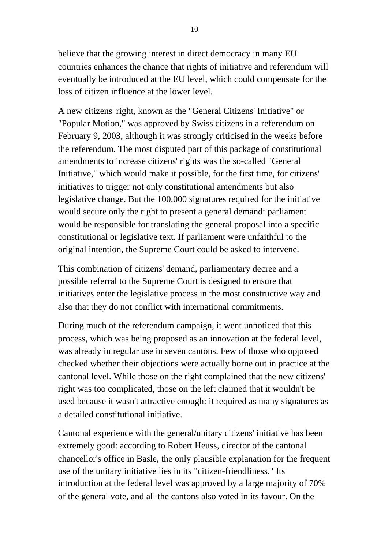believe that the growing interest in direct democracy in many EU countries enhances the chance that rights of initiative and referendum will eventually be introduced at the EU level, which could compensate for the loss of citizen influence at the lower level.

A new citizens' right, known as the "General Citizens' Initiative" or "Popular Motion," was approved by Swiss citizens in a referendum on February 9, 2003, although it was strongly criticised in the weeks before the referendum. The most disputed part of this package of constitutional amendments to increase citizens' rights was the so-called "General Initiative," which would make it possible, for the first time, for citizens' initiatives to trigger not only constitutional amendments but also legislative change. But the 100,000 signatures required for the initiative would secure only the right to present a general demand: parliament would be responsible for translating the general proposal into a specific constitutional or legislative text. If parliament were unfaithful to the original intention, the Supreme Court could be asked to intervene.

This combination of citizens' demand, parliamentary decree and a possible referral to the Supreme Court is designed to ensure that initiatives enter the legislative process in the most constructive way and also that they do not conflict with international commitments.

During much of the referendum campaign, it went unnoticed that this process, which was being proposed as an innovation at the federal level, was already in regular use in seven cantons. Few of those who opposed checked whether their objections were actually borne out in practice at the cantonal level. While those on the right complained that the new citizens' right was too complicated, those on the left claimed that it wouldn't be used because it wasn't attractive enough: it required as many signatures as a detailed constitutional initiative.

Cantonal experience with the general/unitary citizens' initiative has been extremely good: according to Robert Heuss, director of the cantonal chancellor's office in Basle, the only plausible explanation for the frequent use of the unitary initiative lies in its "citizen-friendliness." Its introduction at the federal level was approved by a large majority of 70% of the general vote, and all the cantons also voted in its favour. On the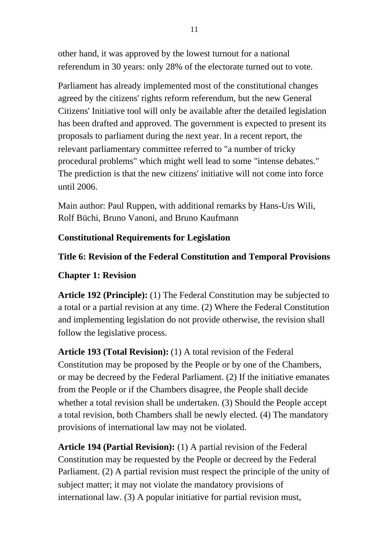other hand, it was approved by the lowest turnout for a national referendum in 30 years: only 28% of the electorate turned out to vote.

Parliament has already implemented most of the constitutional changes agreed by the citizens' rights reform referendum, but the new General Citizens' Initiative tool will only be available after the detailed legislation has been drafted and approved. The government is expected to present its proposals to parliament during the next year. In a recent report, the relevant parliamentary committee referred to "a number of tricky procedural problems" which might well lead to some "intense debates." The prediction is that the new citizens' initiative will not come into force until 2006.

Main author: Paul Ruppen, with additional remarks by Hans-Urs Wili, Rolf Büchi, Bruno Vanoni, and Bruno Kaufmann

#### **Constitutional Requirements for Legislation**

#### **Title 6: Revision of the Federal Constitution and Temporal Provisions**

#### **Chapter 1: Revision**

**Article 192 (Principle):** (1) The Federal Constitution may be subjected to a total or a partial revision at any time. (2) Where the Federal Constitution and implementing legislation do not provide otherwise, the revision shall follow the legislative process.

**Article 193 (Total Revision):** (1) A total revision of the Federal Constitution may be proposed by the People or by one of the Chambers, or may be decreed by the Federal Parliament. (2) If the initiative emanates from the People or if the Chambers disagree, the People shall decide whether a total revision shall be undertaken. (3) Should the People accept a total revision, both Chambers shall be newly elected. (4) The mandatory provisions of international law may not be violated.

**Article 194 (Partial Revision):** (1) A partial revision of the Federal Constitution may be requested by the People or decreed by the Federal Parliament. (2) A partial revision must respect the principle of the unity of subject matter; it may not violate the mandatory provisions of international law. (3) A popular initiative for partial revision must,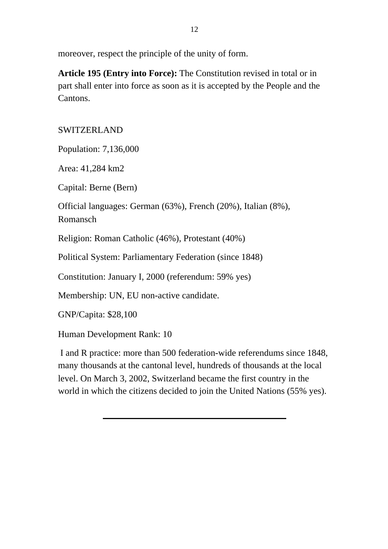moreover, respect the principle of the unity of form.

**Article 195 (Entry into Force):** The Constitution revised in total or in part shall enter into force as soon as it is accepted by the People and the Cantons.

## SWITZERLAND

Population: 7,136,000

Area: 41,284 km2

Capital: Berne (Bern)

Official languages: German (63%), French (20%), Italian (8%), Romansch

Religion: Roman Catholic (46%), Protestant (40%)

Political System: Parliamentary Federation (since 1848)

Constitution: January I, 2000 (referendum: 59% yes)

Membership: UN, EU non-active candidate.

GNP/Capita: \$28,100

Human Development Rank: 10

 I and R practice: more than 500 federation-wide referendums since 1848, many thousands at the cantonal level, hundreds of thousands at the local level. On March 3, 2002, Switzerland became the first country in the world in which the citizens decided to join the United Nations (55% yes).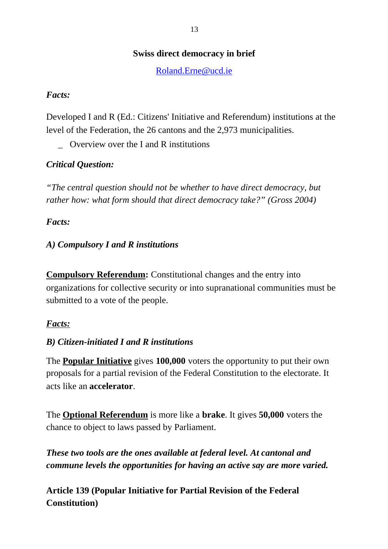## **Swiss direct democracy in brief**

[Roland.Erne@ucd.ie](mailto:Roland.Erne@ucd.ie) 

#### *Facts:*

Developed I and R (Ed.: Citizens' Initiative and Referendum) institutions at the level of the Federation, the 26 cantons and the 2,973 municipalities.

\_ Overview over the I and R institutions

## *Critical Question:*

*"The central question should not be whether to have direct democracy, but rather how: what form should that direct democracy take?" (Gross 2004)*

## *Facts:*

## *A) Compulsory I and R institutions*

**Compulsory Referendum:** Constitutional changes and the entry into organizations for collective security or into supranational communities must be submitted to a vote of the people.

## *Facts:*

## *B) Citizen-initiated I and R institutions*

The **Popular Initiative** gives **100,000** voters the opportunity to put their own proposals for a partial revision of the Federal Constitution to the electorate. It acts like an **accelerator**.

The **Optional Referendum** is more like a **brake**. It gives **50,000** voters the chance to object to laws passed by Parliament.

*These two tools are the ones available at federal level. At cantonal and commune levels the opportunities for having an active say are more varied.*

**Article 139 (Popular Initiative for Partial Revision of the Federal Constitution)**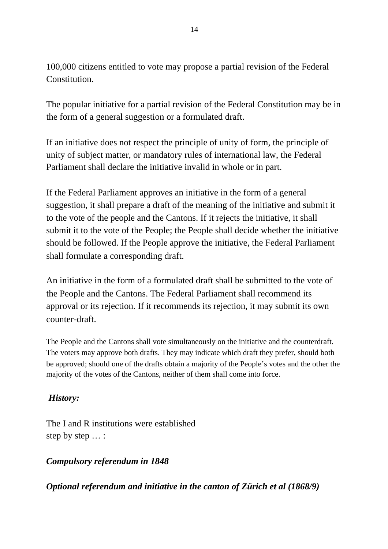100,000 citizens entitled to vote may propose a partial revision of the Federal Constitution.

The popular initiative for a partial revision of the Federal Constitution may be in the form of a general suggestion or a formulated draft.

If an initiative does not respect the principle of unity of form, the principle of unity of subject matter, or mandatory rules of international law, the Federal Parliament shall declare the initiative invalid in whole or in part.

If the Federal Parliament approves an initiative in the form of a general suggestion, it shall prepare a draft of the meaning of the initiative and submit it to the vote of the people and the Cantons. If it rejects the initiative, it shall submit it to the vote of the People; the People shall decide whether the initiative should be followed. If the People approve the initiative, the Federal Parliament shall formulate a corresponding draft.

An initiative in the form of a formulated draft shall be submitted to the vote of the People and the Cantons. The Federal Parliament shall recommend its approval or its rejection. If it recommends its rejection, it may submit its own counter-draft.

The People and the Cantons shall vote simultaneously on the initiative and the counterdraft. The voters may approve both drafts. They may indicate which draft they prefer, should both be approved; should one of the drafts obtain a majority of the People's votes and the other the majority of the votes of the Cantons, neither of them shall come into force.

## *History:*

The I and R institutions were established step by step … :

*Compulsory referendum in 1848*

*Optional referendum and initiative in the canton of Zürich et al (1868/9)*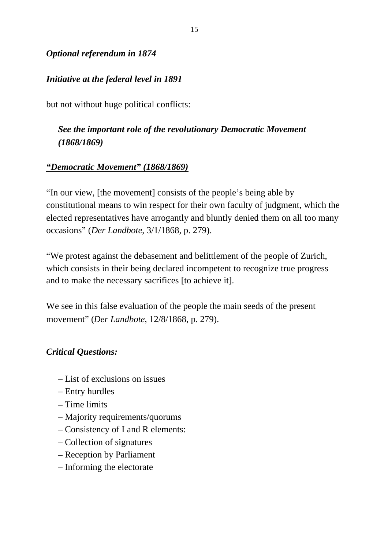## *Optional referendum in 1874*

## *Initiative at the federal level in 1891*

but not without huge political conflicts:

## *See the important role of the revolutionary Democratic Movement (1868/1869)*

#### *"Democratic Movement" (1868/1869)*

"In our view, [the movement] consists of the people's being able by constitutional means to win respect for their own faculty of judgment, which the elected representatives have arrogantly and bluntly denied them on all too many occasions" (*Der Landbote*, 3/1/1868, p. 279).

"We protest against the debasement and belittlement of the people of Zurich, which consists in their being declared incompetent to recognize true progress and to make the necessary sacrifices [to achieve it].

We see in this false evaluation of the people the main seeds of the present movement" (*Der Landbote*, 12/8/1868, p. 279).

#### *Critical Questions:*

- List of exclusions on issues
- Entry hurdles
- Time limits
- Majority requirements/quorums
- Consistency of I and R elements:
- Collection of signatures
- Reception by Parliament
- Informing the electorate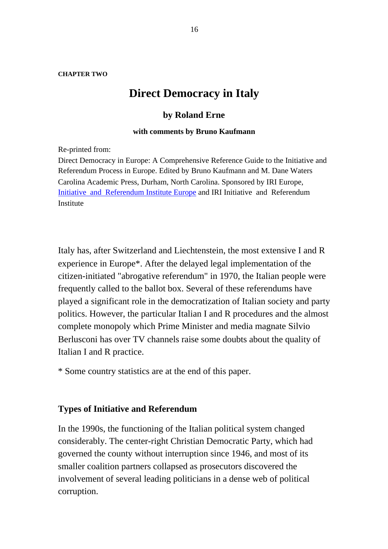**CHAPTER TWO**

# **Direct Democracy in Italy**

#### **by Roland Erne**

#### **with comments by Bruno Kaufmann**

Re-printed from:

Direct Democracy in Europe: A Comprehensive Reference Guide to the Initiative and Referendum Process in Europe. Edited by Bruno Kaufmann and M. Dane Waters Carolina Academic Press, Durham, North Carolina. Sponsored by IRI Europe, Initiative and Referendum Institute Europe and IRI Initiative and Referendum Institute

Italy has, after Switzerland and Liechtenstein, the most extensive I and R experience in Europe\*. After the delayed legal implementation of the citizen-initiated "abrogative referendum" in 1970, the Italian people were frequently called to the ballot box. Several of these referendums have played a significant role in the democratization of Italian society and party politics. However, the particular Italian I and R procedures and the almost complete monopoly which Prime Minister and media magnate Silvio Berlusconi has over TV channels raise some doubts about the quality of Italian I and R practice.

\* Some country statistics are at the end of this paper.

#### **Types of Initiative and Referendum**

In the 1990s, the functioning of the Italian political system changed considerably. The center-right Christian Democratic Party, which had governed the county without interruption since 1946, and most of its smaller coalition partners collapsed as prosecutors discovered the involvement of several leading politicians in a dense web of political corruption.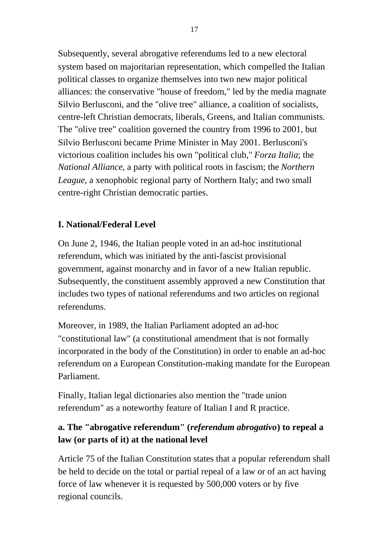Subsequently, several abrogative referendums led to a new electoral system based on majoritarian representation, which compelled the Italian political classes to organize themselves into two new major political alliances: the conservative "house of freedom," led by the media magnate Silvio Berlusconi, and the "olive tree" alliance, a coalition of socialists, centre-left Christian democrats, liberals, Greens, and Italian communists. The "olive tree" coalition governed the country from 1996 to 2001, but Silvio Berlusconi became Prime Minister in May 2001. Berlusconi's victorious coalition includes his own "political club," *Forza Italia*; the *National Alliance*, a party with political roots in fascism; the *Northern League*, a xenophobic regional party of Northern Italy; and two small centre-right Christian democratic parties.

## **I. National/Federal Level**

On June 2, 1946, the Italian people voted in an ad-hoc institutional referendum, which was initiated by the anti-fascist provisional government, against monarchy and in favor of a new Italian republic. Subsequently, the constituent assembly approved a new Constitution that includes two types of national referendums and two articles on regional referendums.

Moreover, in 1989, the Italian Parliament adopted an ad-hoc "constitutional law" (a constitutional amendment that is not formally incorporated in the body of the Constitution) in order to enable an ad-hoc referendum on a European Constitution-making mandate for the European Parliament.

Finally, Italian legal dictionaries also mention the "trade union referendum" as a noteworthy feature of Italian I and R practice.

# **a. The "abrogative referendum" (***referendum abrogativo***) to repeal a law (or parts of it) at the national level**

Article 75 of the Italian Constitution states that a popular referendum shall be held to decide on the total or partial repeal of a law or of an act having force of law whenever it is requested by 500,000 voters or by five regional councils.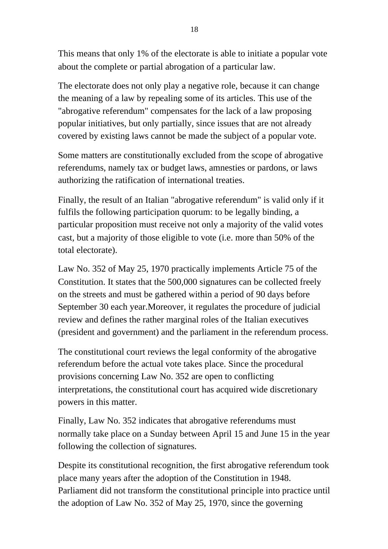This means that only 1% of the electorate is able to initiate a popular vote about the complete or partial abrogation of a particular law.

The electorate does not only play a negative role, because it can change the meaning of a law by repealing some of its articles. This use of the "abrogative referendum" compensates for the lack of a law proposing popular initiatives, but only partially, since issues that are not already covered by existing laws cannot be made the subject of a popular vote.

Some matters are constitutionally excluded from the scope of abrogative referendums, namely tax or budget laws, amnesties or pardons, or laws authorizing the ratification of international treaties.

Finally, the result of an Italian "abrogative referendum" is valid only if it fulfils the following participation quorum: to be legally binding, a particular proposition must receive not only a majority of the valid votes cast, but a majority of those eligible to vote (i.e. more than 50% of the total electorate).

Law No. 352 of May 25, 1970 practically implements Article 75 of the Constitution. It states that the 500,000 signatures can be collected freely on the streets and must be gathered within a period of 90 days before September 30 each year.Moreover, it regulates the procedure of judicial review and defines the rather marginal roles of the Italian executives (president and government) and the parliament in the referendum process.

The constitutional court reviews the legal conformity of the abrogative referendum before the actual vote takes place. Since the procedural provisions concerning Law No. 352 are open to conflicting interpretations, the constitutional court has acquired wide discretionary powers in this matter.

Finally, Law No. 352 indicates that abrogative referendums must normally take place on a Sunday between April 15 and June 15 in the year following the collection of signatures.

Despite its constitutional recognition, the first abrogative referendum took place many years after the adoption of the Constitution in 1948. Parliament did not transform the constitutional principle into practice until the adoption of Law No. 352 of May 25, 1970, since the governing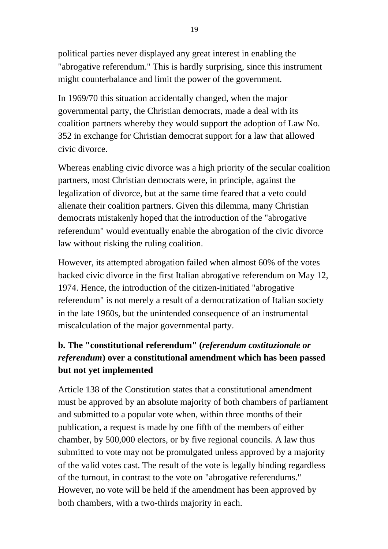political parties never displayed any great interest in enabling the "abrogative referendum." This is hardly surprising, since this instrument might counterbalance and limit the power of the government.

In 1969/70 this situation accidentally changed, when the major governmental party, the Christian democrats, made a deal with its coalition partners whereby they would support the adoption of Law No. 352 in exchange for Christian democrat support for a law that allowed civic divorce.

Whereas enabling civic divorce was a high priority of the secular coalition partners, most Christian democrats were, in principle, against the legalization of divorce, but at the same time feared that a veto could alienate their coalition partners. Given this dilemma, many Christian democrats mistakenly hoped that the introduction of the "abrogative referendum" would eventually enable the abrogation of the civic divorce law without risking the ruling coalition.

However, its attempted abrogation failed when almost 60% of the votes backed civic divorce in the first Italian abrogative referendum on May 12, 1974. Hence, the introduction of the citizen-initiated "abrogative referendum" is not merely a result of a democratization of Italian society in the late 1960s, but the unintended consequence of an instrumental miscalculation of the major governmental party.

# **b. The "constitutional referendum" (***referendum costituzionale or referendum***) over a constitutional amendment which has been passed but not yet implemented**

Article 138 of the Constitution states that a constitutional amendment must be approved by an absolute majority of both chambers of parliament and submitted to a popular vote when, within three months of their publication, a request is made by one fifth of the members of either chamber, by 500,000 electors, or by five regional councils. A law thus submitted to vote may not be promulgated unless approved by a majority of the valid votes cast. The result of the vote is legally binding regardless of the turnout, in contrast to the vote on "abrogative referendums." However, no vote will be held if the amendment has been approved by both chambers, with a two-thirds majority in each.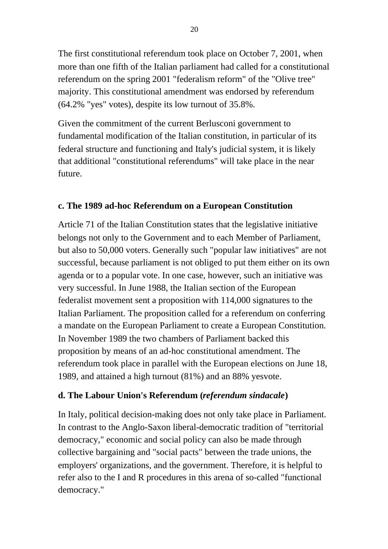The first constitutional referendum took place on October 7, 2001, when more than one fifth of the Italian parliament had called for a constitutional referendum on the spring 2001 "federalism reform" of the "Olive tree" majority. This constitutional amendment was endorsed by referendum (64.2% "yes" votes), despite its low turnout of 35.8%.

Given the commitment of the current Berlusconi government to fundamental modification of the Italian constitution, in particular of its federal structure and functioning and Italy's judicial system, it is likely that additional "constitutional referendums" will take place in the near future.

## **c. The 1989 ad-hoc Referendum on a European Constitution**

Article 71 of the Italian Constitution states that the legislative initiative belongs not only to the Government and to each Member of Parliament, but also to 50,000 voters. Generally such "popular law initiatives" are not successful, because parliament is not obliged to put them either on its own agenda or to a popular vote. In one case, however, such an initiative was very successful. In June 1988, the Italian section of the European federalist movement sent a proposition with 114,000 signatures to the Italian Parliament. The proposition called for a referendum on conferring a mandate on the European Parliament to create a European Constitution. In November 1989 the two chambers of Parliament backed this proposition by means of an ad-hoc constitutional amendment. The referendum took place in parallel with the European elections on June 18, 1989, and attained a high turnout (81%) and an 88% yesvote.

#### **d. The Labour Union's Referendum (***referendum sindacale***)**

In Italy, political decision-making does not only take place in Parliament. In contrast to the Anglo-Saxon liberal-democratic tradition of "territorial democracy," economic and social policy can also be made through collective bargaining and "social pacts" between the trade unions, the employers' organizations, and the government. Therefore, it is helpful to refer also to the I and R procedures in this arena of so-called "functional democracy."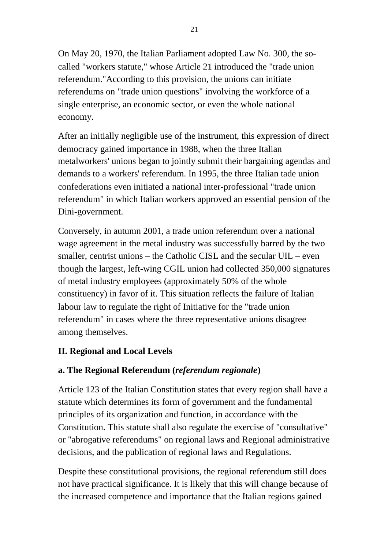On May 20, 1970, the Italian Parliament adopted Law No. 300, the socalled "workers statute," whose Article 21 introduced the "trade union referendum."According to this provision, the unions can initiate referendums on "trade union questions" involving the workforce of a single enterprise, an economic sector, or even the whole national economy.

After an initially negligible use of the instrument, this expression of direct democracy gained importance in 1988, when the three Italian metalworkers' unions began to jointly submit their bargaining agendas and demands to a workers' referendum. In 1995, the three Italian tade union confederations even initiated a national inter-professional "trade union referendum" in which Italian workers approved an essential pension of the Dini-government.

Conversely, in autumn 2001, a trade union referendum over a national wage agreement in the metal industry was successfully barred by the two smaller, centrist unions – the Catholic CISL and the secular UIL – even though the largest, left-wing CGIL union had collected 350,000 signatures of metal industry employees (approximately 50% of the whole constituency) in favor of it. This situation reflects the failure of Italian labour law to regulate the right of Initiative for the "trade union referendum" in cases where the three representative unions disagree among themselves.

## **II. Regional and Local Levels**

## **a. The Regional Referendum (***referendum regionale***)**

Article 123 of the Italian Constitution states that every region shall have a statute which determines its form of government and the fundamental principles of its organization and function, in accordance with the Constitution. This statute shall also regulate the exercise of "consultative" or "abrogative referendums" on regional laws and Regional administrative decisions, and the publication of regional laws and Regulations.

Despite these constitutional provisions, the regional referendum still does not have practical significance. It is likely that this will change because of the increased competence and importance that the Italian regions gained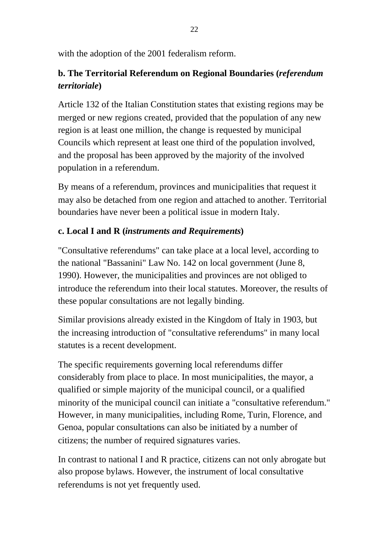with the adoption of the 2001 federalism reform.

# **b. The Territorial Referendum on Regional Boundaries (***referendum territoriale***)**

Article 132 of the Italian Constitution states that existing regions may be merged or new regions created, provided that the population of any new region is at least one million, the change is requested by municipal Councils which represent at least one third of the population involved, and the proposal has been approved by the majority of the involved population in a referendum.

By means of a referendum, provinces and municipalities that request it may also be detached from one region and attached to another. Territorial boundaries have never been a political issue in modern Italy.

## **c. Local I and R (***instruments and Requirements***)**

"Consultative referendums" can take place at a local level, according to the national "Bassanini" Law No. 142 on local government (June 8, 1990). However, the municipalities and provinces are not obliged to introduce the referendum into their local statutes. Moreover, the results of these popular consultations are not legally binding.

Similar provisions already existed in the Kingdom of Italy in 1903, but the increasing introduction of "consultative referendums" in many local statutes is a recent development.

The specific requirements governing local referendums differ considerably from place to place. In most municipalities, the mayor, a qualified or simple majority of the municipal council, or a qualified minority of the municipal council can initiate a "consultative referendum." However, in many municipalities, including Rome, Turin, Florence, and Genoa, popular consultations can also be initiated by a number of citizens; the number of required signatures varies.

In contrast to national I and R practice, citizens can not only abrogate but also propose bylaws. However, the instrument of local consultative referendums is not yet frequently used.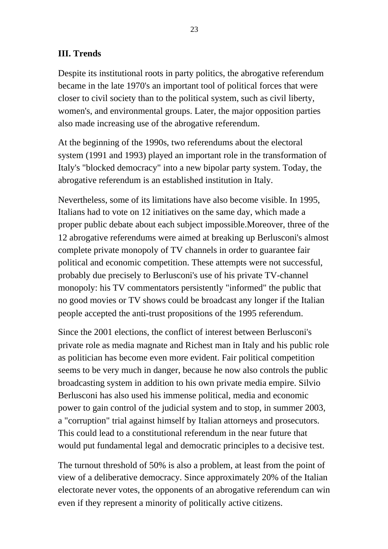## **III. Trends**

Despite its institutional roots in party politics, the abrogative referendum became in the late 1970's an important tool of political forces that were closer to civil society than to the political system, such as civil liberty, women's, and environmental groups. Later, the major opposition parties also made increasing use of the abrogative referendum.

At the beginning of the 1990s, two referendums about the electoral system (1991 and 1993) played an important role in the transformation of Italy's "blocked democracy" into a new bipolar party system. Today, the abrogative referendum is an established institution in Italy.

Nevertheless, some of its limitations have also become visible. In 1995, Italians had to vote on 12 initiatives on the same day, which made a proper public debate about each subject impossible.Moreover, three of the 12 abrogative referendums were aimed at breaking up Berlusconi's almost complete private monopoly of TV channels in order to guarantee fair political and economic competition. These attempts were not successful, probably due precisely to Berlusconi's use of his private TV-channel monopoly: his TV commentators persistently "informed" the public that no good movies or TV shows could be broadcast any longer if the Italian people accepted the anti-trust propositions of the 1995 referendum.

Since the 2001 elections, the conflict of interest between Berlusconi's private role as media magnate and Richest man in Italy and his public role as politician has become even more evident. Fair political competition seems to be very much in danger, because he now also controls the public broadcasting system in addition to his own private media empire. Silvio Berlusconi has also used his immense political, media and economic power to gain control of the judicial system and to stop, in summer 2003, a "corruption" trial against himself by Italian attorneys and prosecutors. This could lead to a constitutional referendum in the near future that would put fundamental legal and democratic principles to a decisive test.

The turnout threshold of 50% is also a problem, at least from the point of view of a deliberative democracy. Since approximately 20% of the Italian electorate never votes, the opponents of an abrogative referendum can win even if they represent a minority of politically active citizens.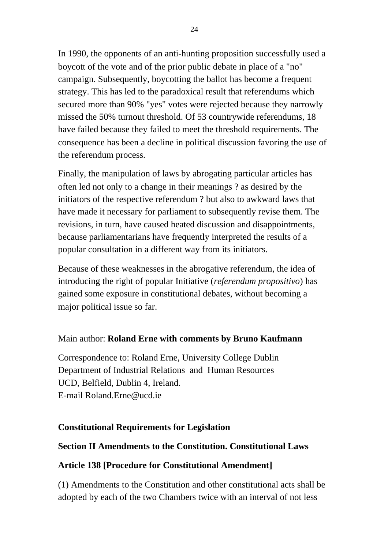In 1990, the opponents of an anti-hunting proposition successfully used a boycott of the vote and of the prior public debate in place of a "no" campaign. Subsequently, boycotting the ballot has become a frequent strategy. This has led to the paradoxical result that referendums which secured more than 90% "yes" votes were rejected because they narrowly missed the 50% turnout threshold. Of 53 countrywide referendums, 18 have failed because they failed to meet the threshold requirements. The consequence has been a decline in political discussion favoring the use of the referendum process.

Finally, the manipulation of laws by abrogating particular articles has often led not only to a change in their meanings ? as desired by the initiators of the respective referendum ? but also to awkward laws that have made it necessary for parliament to subsequently revise them. The revisions, in turn, have caused heated discussion and disappointments, because parliamentarians have frequently interpreted the results of a popular consultation in a different way from its initiators.

Because of these weaknesses in the abrogative referendum, the idea of introducing the right of popular Initiative (*referendum propositivo*) has gained some exposure in constitutional debates, without becoming a major political issue so far.

#### Main author: **Roland Erne with comments by Bruno Kaufmann**

Correspondence to: Roland Erne, University College Dublin Department of Industrial Relations and Human Resources UCD, Belfield, Dublin 4, Ireland. E-mail [Roland.Erne@ucd.ie](mailto:Roland.Erne@ucd.ie)

#### **Constitutional Requirements for Legislation**

#### **Section II Amendments to the Constitution. Constitutional Laws**

#### **Article 138 [Procedure for Constitutional Amendment]**

(1) Amendments to the Constitution and other constitutional acts shall be adopted by each of the two Chambers twice with an interval of not less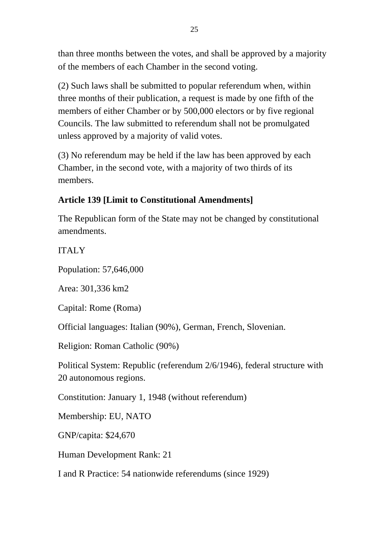than three months between the votes, and shall be approved by a majority of the members of each Chamber in the second voting.

(2) Such laws shall be submitted to popular referendum when, within three months of their publication, a request is made by one fifth of the members of either Chamber or by 500,000 electors or by five regional Councils. The law submitted to referendum shall not be promulgated unless approved by a majority of valid votes.

(3) No referendum may be held if the law has been approved by each Chamber, in the second vote, with a majority of two thirds of its members.

#### **Article 139 [Limit to Constitutional Amendments]**

The Republican form of the State may not be changed by constitutional amendments.

#### ITALY

Population: 57,646,000

Area: 301,336 km2

Capital: Rome (Roma)

Official languages: Italian (90%), German, French, Slovenian.

Religion: Roman Catholic (90%)

Political System: Republic (referendum 2/6/1946), federal structure with 20 autonomous regions.

Constitution: January 1, 1948 (without referendum)

Membership: EU, NATO

GNP/capita: \$24,670

Human Development Rank: 21

I and R Practice: 54 nationwide referendums (since 1929)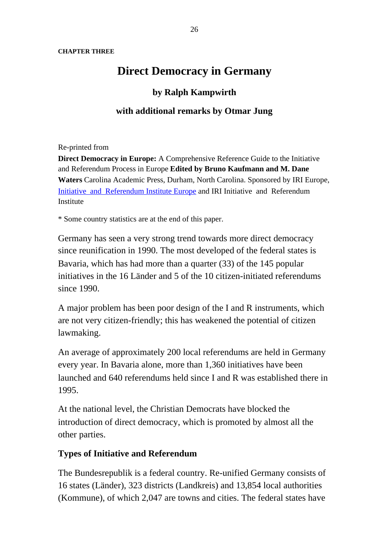#### **CHAPTER THREE**

# **Direct Democracy in Germany**

#### **by Ralph Kampwirth**

#### **with additional remarks by Otmar Jung**

Re-printed from

**Direct Democracy in Europe:** A Comprehensive Reference Guide to the Initiative and Referendum Process in Europe **Edited by Bruno Kaufmann and M. Dane Waters** Carolina Academic Press, Durham, North Carolina. Sponsored by IRI Europe, Initiative and Referendum Institute Europe and IRI Initiative and Referendum Institute

\* Some country statistics are at the end of this paper.

Germany has seen a very strong trend towards more direct democracy since reunification in 1990. The most developed of the federal states is Bavaria, which has had more than a quarter (33) of the 145 popular initiatives in the 16 Länder and 5 of the 10 citizen-initiated referendums since 1990.

A major problem has been poor design of the I and R instruments, which are not very citizen-friendly; this has weakened the potential of citizen lawmaking.

An average of approximately 200 local referendums are held in Germany every year. In Bavaria alone, more than 1,360 initiatives have been launched and 640 referendums held since I and R was established there in 1995.

At the national level, the Christian Democrats have blocked the introduction of direct democracy, which is promoted by almost all the other parties.

#### **Types of Initiative and Referendum**

The Bundesrepublik is a federal country. Re-unified Germany consists of 16 states (Länder), 323 districts (Landkreis) and 13,854 local authorities (Kommune), of which 2,047 are towns and cities. The federal states have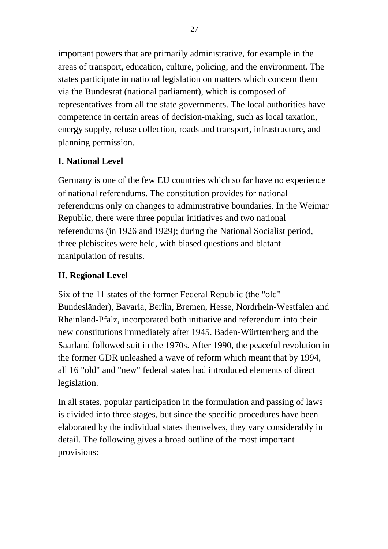important powers that are primarily administrative, for example in the areas of transport, education, culture, policing, and the environment. The states participate in national legislation on matters which concern them via the Bundesrat (national parliament), which is composed of representatives from all the state governments. The local authorities have competence in certain areas of decision-making, such as local taxation, energy supply, refuse collection, roads and transport, infrastructure, and planning permission.

## **I. National Level**

Germany is one of the few EU countries which so far have no experience of national referendums. The constitution provides for national referendums only on changes to administrative boundaries. In the Weimar Republic, there were three popular initiatives and two national referendums (in 1926 and 1929); during the National Socialist period, three plebiscites were held, with biased questions and blatant manipulation of results.

## **II. Regional Level**

Six of the 11 states of the former Federal Republic (the "old" Bundesländer), Bavaria, Berlin, Bremen, Hesse, Nordrhein-Westfalen and Rheinland-Pfalz, incorporated both initiative and referendum into their new constitutions immediately after 1945. Baden-Württemberg and the Saarland followed suit in the 1970s. After 1990, the peaceful revolution in the former GDR unleashed a wave of reform which meant that by 1994, all 16 "old" and "new" federal states had introduced elements of direct legislation.

In all states, popular participation in the formulation and passing of laws is divided into three stages, but since the specific procedures have been elaborated by the individual states themselves, they vary considerably in detail. The following gives a broad outline of the most important provisions: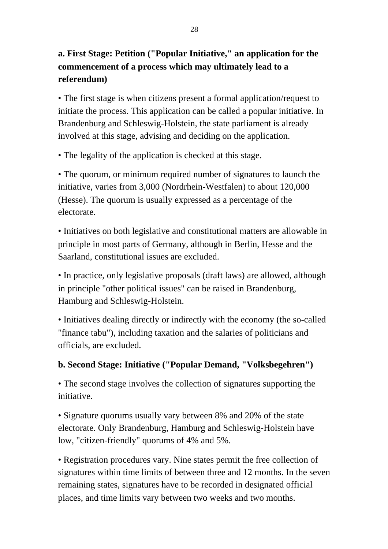# **a. First Stage: Petition ("Popular Initiative," an application for the commencement of a process which may ultimately lead to a referendum)**

• The first stage is when citizens present a formal application/request to initiate the process. This application can be called a popular initiative. In Brandenburg and Schleswig-Holstein, the state parliament is already involved at this stage, advising and deciding on the application.

• The legality of the application is checked at this stage.

• The quorum, or minimum required number of signatures to launch the initiative, varies from 3,000 (Nordrhein-Westfalen) to about 120,000 (Hesse). The quorum is usually expressed as a percentage of the electorate.

• Initiatives on both legislative and constitutional matters are allowable in principle in most parts of Germany, although in Berlin, Hesse and the Saarland, constitutional issues are excluded.

• In practice, only legislative proposals (draft laws) are allowed, although in principle "other political issues" can be raised in Brandenburg, Hamburg and Schleswig-Holstein.

• Initiatives dealing directly or indirectly with the economy (the so-called "finance tabu"), including taxation and the salaries of politicians and officials, are excluded.

## **b. Second Stage: Initiative ("Popular Demand, "Volksbegehren")**

• The second stage involves the collection of signatures supporting the initiative.

• Signature quorums usually vary between 8% and 20% of the state electorate. Only Brandenburg, Hamburg and Schleswig-Holstein have low, "citizen-friendly" quorums of 4% and 5%.

• Registration procedures vary. Nine states permit the free collection of signatures within time limits of between three and 12 months. In the seven remaining states, signatures have to be recorded in designated official places, and time limits vary between two weeks and two months.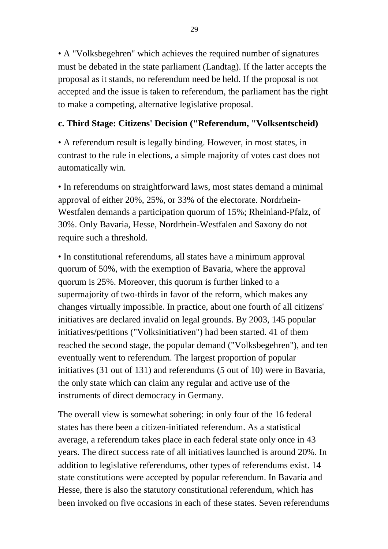• A "Volksbegehren" which achieves the required number of signatures must be debated in the state parliament (Landtag). If the latter accepts the proposal as it stands, no referendum need be held. If the proposal is not accepted and the issue is taken to referendum, the parliament has the right to make a competing, alternative legislative proposal.

#### **c. Third Stage: Citizens' Decision ("Referendum, "Volksentscheid)**

• A referendum result is legally binding. However, in most states, in contrast to the rule in elections, a simple majority of votes cast does not automatically win.

• In referendums on straightforward laws, most states demand a minimal approval of either 20%, 25%, or 33% of the electorate. Nordrhein-Westfalen demands a participation quorum of 15%; Rheinland-Pfalz, of 30%. Only Bavaria, Hesse, Nordrhein-Westfalen and Saxony do not require such a threshold.

• In constitutional referendums, all states have a minimum approval quorum of 50%, with the exemption of Bavaria, where the approval quorum is 25%. Moreover, this quorum is further linked to a supermajority of two-thirds in favor of the reform, which makes any changes virtually impossible. In practice, about one fourth of all citizens' initiatives are declared invalid on legal grounds. By 2003, 145 popular initiatives/petitions ("Volksinitiativen") had been started. 41 of them reached the second stage, the popular demand ("Volksbegehren"), and ten eventually went to referendum. The largest proportion of popular initiatives (31 out of 131) and referendums (5 out of 10) were in Bavaria, the only state which can claim any regular and active use of the instruments of direct democracy in Germany.

The overall view is somewhat sobering: in only four of the 16 federal states has there been a citizen-initiated referendum. As a statistical average, a referendum takes place in each federal state only once in 43 years. The direct success rate of all initiatives launched is around 20%. In addition to legislative referendums, other types of referendums exist. 14 state constitutions were accepted by popular referendum. In Bavaria and Hesse, there is also the statutory constitutional referendum, which has been invoked on five occasions in each of these states. Seven referendums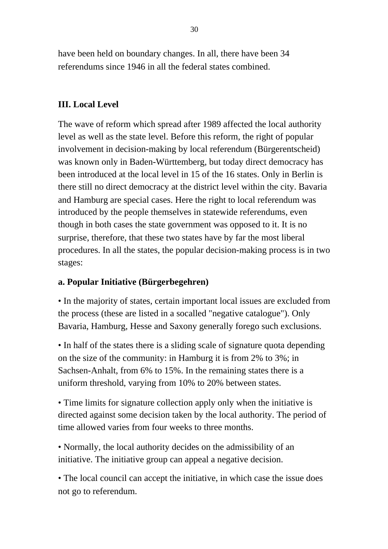have been held on boundary changes. In all, there have been 34 referendums since 1946 in all the federal states combined.

## **III. Local Level**

The wave of reform which spread after 1989 affected the local authority level as well as the state level. Before this reform, the right of popular involvement in decision-making by local referendum (Bürgerentscheid) was known only in Baden-Württemberg, but today direct democracy has been introduced at the local level in 15 of the 16 states. Only in Berlin is there still no direct democracy at the district level within the city. Bavaria and Hamburg are special cases. Here the right to local referendum was introduced by the people themselves in statewide referendums, even though in both cases the state government was opposed to it. It is no surprise, therefore, that these two states have by far the most liberal procedures. In all the states, the popular decision-making process is in two stages:

#### **a. Popular Initiative (Bürgerbegehren)**

• In the majority of states, certain important local issues are excluded from the process (these are listed in a socalled "negative catalogue"). Only Bavaria, Hamburg, Hesse and Saxony generally forego such exclusions.

• In half of the states there is a sliding scale of signature quota depending on the size of the community: in Hamburg it is from 2% to 3%; in Sachsen-Anhalt, from 6% to 15%. In the remaining states there is a uniform threshold, varying from 10% to 20% between states.

• Time limits for signature collection apply only when the initiative is directed against some decision taken by the local authority. The period of time allowed varies from four weeks to three months.

• Normally, the local authority decides on the admissibility of an initiative. The initiative group can appeal a negative decision.

• The local council can accept the initiative, in which case the issue does not go to referendum.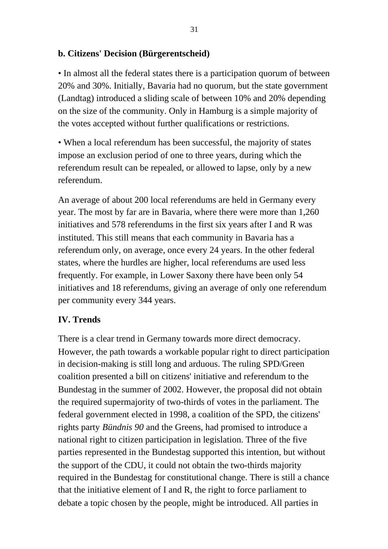#### **b. Citizens' Decision (Bürgerentscheid)**

• In almost all the federal states there is a participation quorum of between 20% and 30%. Initially, Bavaria had no quorum, but the state government (Landtag) introduced a sliding scale of between 10% and 20% depending on the size of the community. Only in Hamburg is a simple majority of the votes accepted without further qualifications or restrictions.

• When a local referendum has been successful, the majority of states impose an exclusion period of one to three years, during which the referendum result can be repealed, or allowed to lapse, only by a new referendum.

An average of about 200 local referendums are held in Germany every year. The most by far are in Bavaria, where there were more than 1,260 initiatives and 578 referendums in the first six years after I and R was instituted. This still means that each community in Bavaria has a referendum only, on average, once every 24 years. In the other federal states, where the hurdles are higher, local referendums are used less frequently. For example, in Lower Saxony there have been only 54 initiatives and 18 referendums, giving an average of only one referendum per community every 344 years.

## **IV. Trends**

There is a clear trend in Germany towards more direct democracy. However, the path towards a workable popular right to direct participation in decision-making is still long and arduous. The ruling SPD/Green coalition presented a bill on citizens' initiative and referendum to the Bundestag in the summer of 2002. However, the proposal did not obtain the required supermajority of two-thirds of votes in the parliament. The federal government elected in 1998, a coalition of the SPD, the citizens' rights party *Bündnis 90* and the Greens, had promised to introduce a national right to citizen participation in legislation. Three of the five parties represented in the Bundestag supported this intention, but without the support of the CDU, it could not obtain the two-thirds majority required in the Bundestag for constitutional change. There is still a chance that the initiative element of I and R, the right to force parliament to debate a topic chosen by the people, might be introduced. All parties in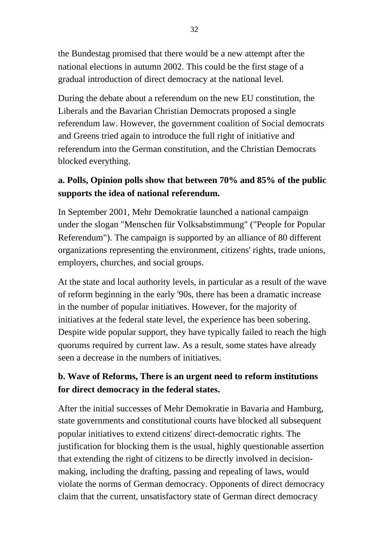the Bundestag promised that there would be a new attempt after the national elections in autumn 2002. This could be the first stage of a gradual introduction of direct democracy at the national level.

During the debate about a referendum on the new EU constitution, the Liberals and the Bavarian Christian Democrats proposed a single referendum law. However, the government coalition of Social democrats and Greens tried again to introduce the full right of initiative and referendum into the German constitution, and the Christian Democrats blocked everything.

# **a. Polls, Opinion polls show that between 70% and 85% of the public supports the idea of national referendum.**

In September 2001, Mehr Demokratie launched a national campaign under the slogan "Menschen für Volksabstimmung" ("People for Popular Referendum"). The campaign is supported by an alliance of 80 different organizations representing the environment, citizens' rights, trade unions, employers, churches, and social groups.

At the state and local authority levels, in particular as a result of the wave of reform beginning in the early '90s, there has been a dramatic increase in the number of popular initiatives. However, for the majority of initiatives at the federal state level, the experience has been sobering. Despite wide popular support, they have typically failed to reach the high quorums required by current law. As a result, some states have already seen a decrease in the numbers of initiatives.

# **b. Wave of Reforms, There is an urgent need to reform institutions for direct democracy in the federal states.**

After the initial successes of Mehr Demokratie in Bavaria and Hamburg, state governments and constitutional courts have blocked all subsequent popular initiatives to extend citizens' direct-democratic rights. The justification for blocking them is the usual, highly questionable assertion that extending the right of citizens to be directly involved in decisionmaking, including the drafting, passing and repealing of laws, would violate the norms of German democracy. Opponents of direct democracy claim that the current, unsatisfactory state of German direct democracy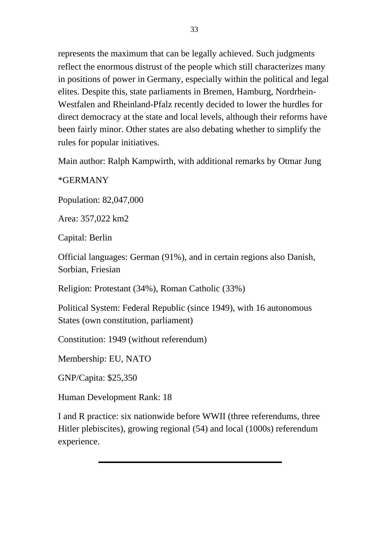represents the maximum that can be legally achieved. Such judgments reflect the enormous distrust of the people which still characterizes many in positions of power in Germany, especially within the political and legal elites. Despite this, state parliaments in Bremen, Hamburg, Nordrhein-Westfalen and Rheinland-Pfalz recently decided to lower the hurdles for direct democracy at the state and local levels, although their reforms have been fairly minor. Other states are also debating whether to simplify the rules for popular initiatives.

Main author: Ralph Kampwirth, with additional remarks by Otmar Jung

\*GERMANY

Population: 82,047,000

Area: 357,022 km2

Capital: Berlin

Official languages: German (91%), and in certain regions also Danish, Sorbian, Friesian

Religion: Protestant (34%), Roman Catholic (33%)

Political System: Federal Republic (since 1949), with 16 autonomous States (own constitution, parliament)

Constitution: 1949 (without referendum)

Membership: EU, NATO

GNP/Capita: \$25,350

Human Development Rank: 18

I and R practice: six nationwide before WWII (three referendums, three Hitler plebiscites), growing regional (54) and local (1000s) referendum experience.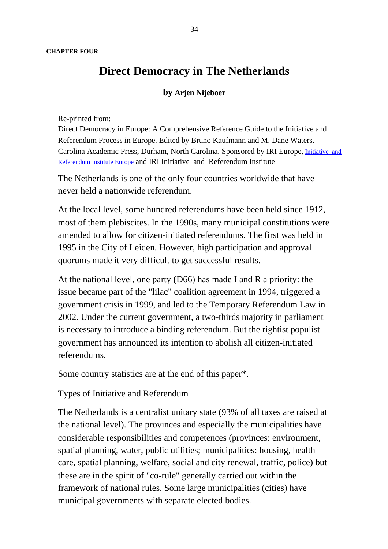# **Direct Democracy in The Netherlands**

#### **by Arjen Nijeboer**

Re-printed from:

Direct Democracy in Europe: A Comprehensive Reference Guide to the Initiative and Referendum Process in Europe. Edited by Bruno Kaufmann and M. Dane Waters. Carolina Academic Press, Durham, North Carolina. Sponsored by IRI Europe, Initiative and Referendum Institute Europe and IRI Initiative and Referendum Institute

The Netherlands is one of the only four countries worldwide that have never held a nationwide referendum.

At the local level, some hundred referendums have been held since 1912, most of them plebiscites. In the 1990s, many municipal constitutions were amended to allow for citizen-initiated referendums. The first was held in 1995 in the City of Leiden. However, high participation and approval quorums made it very difficult to get successful results.

At the national level, one party (D66) has made I and R a priority: the issue became part of the "lilac" coalition agreement in 1994, triggered a government crisis in 1999, and led to the Temporary Referendum Law in 2002. Under the current government, a two-thirds majority in parliament is necessary to introduce a binding referendum. But the rightist populist government has announced its intention to abolish all citizen-initiated referendums.

Some country statistics are at the end of this paper\*.

Types of Initiative and Referendum

The Netherlands is a centralist unitary state (93% of all taxes are raised at the national level). The provinces and especially the municipalities have considerable responsibilities and competences (provinces: environment, spatial planning, water, public utilities; municipalities: housing, health care, spatial planning, welfare, social and city renewal, traffic, police) but these are in the spirit of "co-rule" generally carried out within the framework of national rules. Some large municipalities (cities) have municipal governments with separate elected bodies.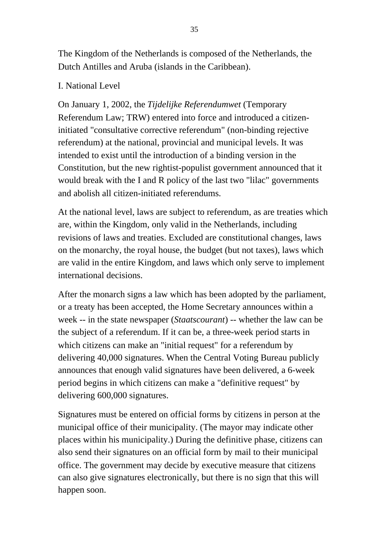The Kingdom of the Netherlands is composed of the Netherlands, the Dutch Antilles and Aruba (islands in the Caribbean).

#### I. National Level

On January 1, 2002, the *Tijdelijke Referendumwet* (Temporary Referendum Law; TRW) entered into force and introduced a citizeninitiated "consultative corrective referendum" (non-binding rejective referendum) at the national, provincial and municipal levels. It was intended to exist until the introduction of a binding version in the Constitution, but the new rightist-populist government announced that it would break with the I and R policy of the last two "lilac" governments and abolish all citizen-initiated referendums.

At the national level, laws are subject to referendum, as are treaties which are, within the Kingdom, only valid in the Netherlands, including revisions of laws and treaties. Excluded are constitutional changes, laws on the monarchy, the royal house, the budget (but not taxes), laws which are valid in the entire Kingdom, and laws which only serve to implement international decisions.

After the monarch signs a law which has been adopted by the parliament, or a treaty has been accepted, the Home Secretary announces within a week -- in the state newspaper (*Staatscourant*) -- whether the law can be the subject of a referendum. If it can be, a three-week period starts in which citizens can make an "initial request" for a referendum by delivering 40,000 signatures. When the Central Voting Bureau publicly announces that enough valid signatures have been delivered, a 6-week period begins in which citizens can make a "definitive request" by delivering 600,000 signatures.

Signatures must be entered on official forms by citizens in person at the municipal office of their municipality. (The mayor may indicate other places within his municipality.) During the definitive phase, citizens can also send their signatures on an official form by mail to their municipal office. The government may decide by executive measure that citizens can also give signatures electronically, but there is no sign that this will happen soon.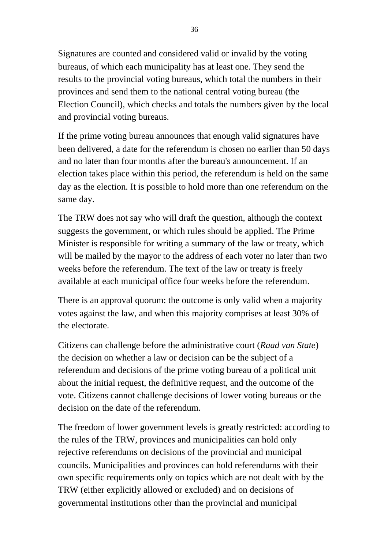Signatures are counted and considered valid or invalid by the voting bureaus, of which each municipality has at least one. They send the results to the provincial voting bureaus, which total the numbers in their provinces and send them to the national central voting bureau (the Election Council), which checks and totals the numbers given by the local and provincial voting bureaus.

If the prime voting bureau announces that enough valid signatures have been delivered, a date for the referendum is chosen no earlier than 50 days and no later than four months after the bureau's announcement. If an election takes place within this period, the referendum is held on the same day as the election. It is possible to hold more than one referendum on the same day.

The TRW does not say who will draft the question, although the context suggests the government, or which rules should be applied. The Prime Minister is responsible for writing a summary of the law or treaty, which will be mailed by the mayor to the address of each voter no later than two weeks before the referendum. The text of the law or treaty is freely available at each municipal office four weeks before the referendum.

There is an approval quorum: the outcome is only valid when a majority votes against the law, and when this majority comprises at least 30% of the electorate.

Citizens can challenge before the administrative court (*Raad van State*) the decision on whether a law or decision can be the subject of a referendum and decisions of the prime voting bureau of a political unit about the initial request, the definitive request, and the outcome of the vote. Citizens cannot challenge decisions of lower voting bureaus or the decision on the date of the referendum.

The freedom of lower government levels is greatly restricted: according to the rules of the TRW, provinces and municipalities can hold only rejective referendums on decisions of the provincial and municipal councils. Municipalities and provinces can hold referendums with their own specific requirements only on topics which are not dealt with by the TRW (either explicitly allowed or excluded) and on decisions of governmental institutions other than the provincial and municipal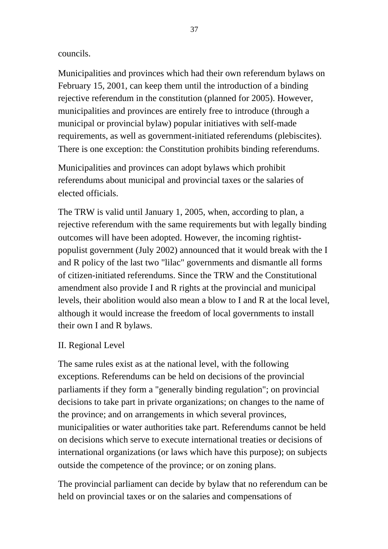#### councils.

Municipalities and provinces which had their own referendum bylaws on February 15, 2001, can keep them until the introduction of a binding rejective referendum in the constitution (planned for 2005). However, municipalities and provinces are entirely free to introduce (through a municipal or provincial bylaw) popular initiatives with self-made requirements, as well as government-initiated referendums (plebiscites). There is one exception: the Constitution prohibits binding referendums.

Municipalities and provinces can adopt bylaws which prohibit referendums about municipal and provincial taxes or the salaries of elected officials.

The TRW is valid until January 1, 2005, when, according to plan, a rejective referendum with the same requirements but with legally binding outcomes will have been adopted. However, the incoming rightistpopulist government (July 2002) announced that it would break with the I and R policy of the last two "lilac" governments and dismantle all forms of citizen-initiated referendums. Since the TRW and the Constitutional amendment also provide I and R rights at the provincial and municipal levels, their abolition would also mean a blow to I and R at the local level, although it would increase the freedom of local governments to install their own I and R bylaws.

#### II. Regional Level

The same rules exist as at the national level, with the following exceptions. Referendums can be held on decisions of the provincial parliaments if they form a "generally binding regulation"; on provincial decisions to take part in private organizations; on changes to the name of the province; and on arrangements in which several provinces, municipalities or water authorities take part. Referendums cannot be held on decisions which serve to execute international treaties or decisions of international organizations (or laws which have this purpose); on subjects outside the competence of the province; or on zoning plans.

The provincial parliament can decide by bylaw that no referendum can be held on provincial taxes or on the salaries and compensations of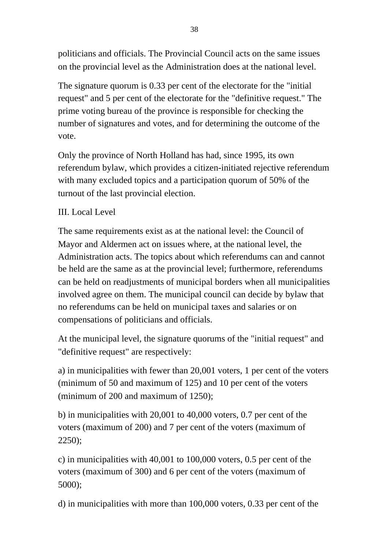politicians and officials. The Provincial Council acts on the same issues on the provincial level as the Administration does at the national level.

The signature quorum is 0.33 per cent of the electorate for the "initial request" and 5 per cent of the electorate for the "definitive request." The prime voting bureau of the province is responsible for checking the number of signatures and votes, and for determining the outcome of the vote.

Only the province of North Holland has had, since 1995, its own referendum bylaw, which provides a citizen-initiated rejective referendum with many excluded topics and a participation quorum of 50% of the turnout of the last provincial election.

## III. Local Level

The same requirements exist as at the national level: the Council of Mayor and Aldermen act on issues where, at the national level, the Administration acts. The topics about which referendums can and cannot be held are the same as at the provincial level; furthermore, referendums can be held on readjustments of municipal borders when all municipalities involved agree on them. The municipal council can decide by bylaw that no referendums can be held on municipal taxes and salaries or on compensations of politicians and officials.

At the municipal level, the signature quorums of the "initial request" and "definitive request" are respectively:

a) in municipalities with fewer than 20,001 voters, 1 per cent of the voters (minimum of 50 and maximum of 125) and 10 per cent of the voters (minimum of 200 and maximum of 1250);

b) in municipalities with 20,001 to 40,000 voters, 0.7 per cent of the voters (maximum of 200) and 7 per cent of the voters (maximum of 2250);

c) in municipalities with 40,001 to 100,000 voters, 0.5 per cent of the voters (maximum of 300) and 6 per cent of the voters (maximum of 5000);

d) in municipalities with more than 100,000 voters, 0.33 per cent of the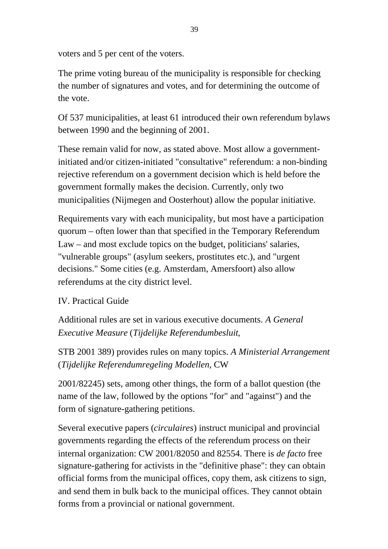voters and 5 per cent of the voters.

The prime voting bureau of the municipality is responsible for checking the number of signatures and votes, and for determining the outcome of the vote.

Of 537 municipalities, at least 61 introduced their own referendum bylaws between 1990 and the beginning of 2001.

These remain valid for now, as stated above. Most allow a governmentinitiated and/or citizen-initiated "consultative" referendum: a non-binding rejective referendum on a government decision which is held before the government formally makes the decision. Currently, only two municipalities (Nijmegen and Oosterhout) allow the popular initiative.

Requirements vary with each municipality, but most have a participation quorum – often lower than that specified in the Temporary Referendum Law – and most exclude topics on the budget, politicians' salaries, "vulnerable groups" (asylum seekers, prostitutes etc.), and "urgent decisions." Some cities (e.g. Amsterdam, Amersfoort) also allow referendums at the city district level.

## IV. Practical Guide

Additional rules are set in various executive documents. *A General Executive Measure* (*Tijdelijke Referendumbesluit*,

STB 2001 389) provides rules on many topics. *A Ministerial Arrangement* (*Tijdelijke Referendumregeling Modellen*, CW

2001/82245) sets, among other things, the form of a ballot question (the name of the law, followed by the options "for" and "against") and the form of signature-gathering petitions.

Several executive papers (*circulaires*) instruct municipal and provincial governments regarding the effects of the referendum process on their internal organization: CW 2001/82050 and 82554. There is *de facto* free signature-gathering for activists in the "definitive phase": they can obtain official forms from the municipal offices, copy them, ask citizens to sign, and send them in bulk back to the municipal offices. They cannot obtain forms from a provincial or national government.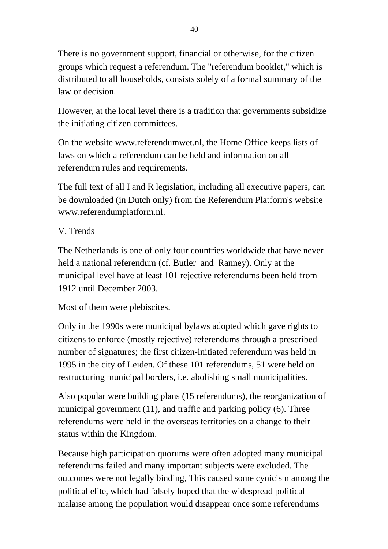There is no government support, financial or otherwise, for the citizen groups which request a referendum. The "referendum booklet," which is distributed to all households, consists solely of a formal summary of the law or decision.

However, at the local level there is a tradition that governments subsidize the initiating citizen committees.

On the website www.referendumwet.nl, the Home Office keeps lists of laws on which a referendum can be held and information on all referendum rules and requirements.

The full text of all I and R legislation, including all executive papers, can be downloaded (in Dutch only) from the Referendum Platform's website www.referendumplatform.nl.

## V. Trends

The Netherlands is one of only four countries worldwide that have never held a national referendum (cf. Butler and Ranney). Only at the municipal level have at least 101 rejective referendums been held from 1912 until December 2003.

Most of them were plebiscites.

Only in the 1990s were municipal bylaws adopted which gave rights to citizens to enforce (mostly rejective) referendums through a prescribed number of signatures; the first citizen-initiated referendum was held in 1995 in the city of Leiden. Of these 101 referendums, 51 were held on restructuring municipal borders, i.e. abolishing small municipalities.

Also popular were building plans (15 referendums), the reorganization of municipal government (11), and traffic and parking policy (6). Three referendums were held in the overseas territories on a change to their status within the Kingdom.

Because high participation quorums were often adopted many municipal referendums failed and many important subjects were excluded. The outcomes were not legally binding, This caused some cynicism among the political elite, which had falsely hoped that the widespread political malaise among the population would disappear once some referendums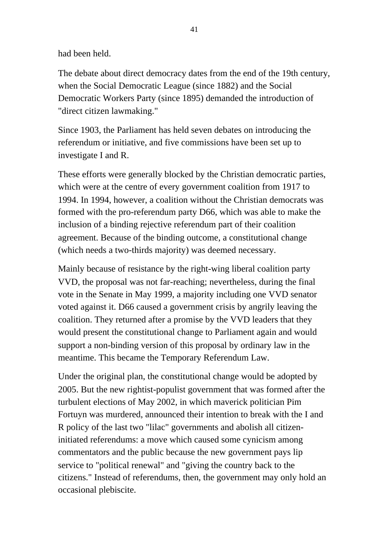had been held.

The debate about direct democracy dates from the end of the 19th century, when the Social Democratic League (since 1882) and the Social Democratic Workers Party (since 1895) demanded the introduction of "direct citizen lawmaking."

Since 1903, the Parliament has held seven debates on introducing the referendum or initiative, and five commissions have been set up to investigate I and R.

These efforts were generally blocked by the Christian democratic parties, which were at the centre of every government coalition from 1917 to 1994. In 1994, however, a coalition without the Christian democrats was formed with the pro-referendum party D66, which was able to make the inclusion of a binding rejective referendum part of their coalition agreement. Because of the binding outcome, a constitutional change (which needs a two-thirds majority) was deemed necessary.

Mainly because of resistance by the right-wing liberal coalition party VVD, the proposal was not far-reaching; nevertheless, during the final vote in the Senate in May 1999, a majority including one VVD senator voted against it. D66 caused a government crisis by angrily leaving the coalition. They returned after a promise by the VVD leaders that they would present the constitutional change to Parliament again and would support a non-binding version of this proposal by ordinary law in the meantime. This became the Temporary Referendum Law.

Under the original plan, the constitutional change would be adopted by 2005. But the new rightist-populist government that was formed after the turbulent elections of May 2002, in which maverick politician Pim Fortuyn was murdered, announced their intention to break with the I and R policy of the last two "lilac" governments and abolish all citizeninitiated referendums: a move which caused some cynicism among commentators and the public because the new government pays lip service to "political renewal" and "giving the country back to the citizens." Instead of referendums, then, the government may only hold an occasional plebiscite.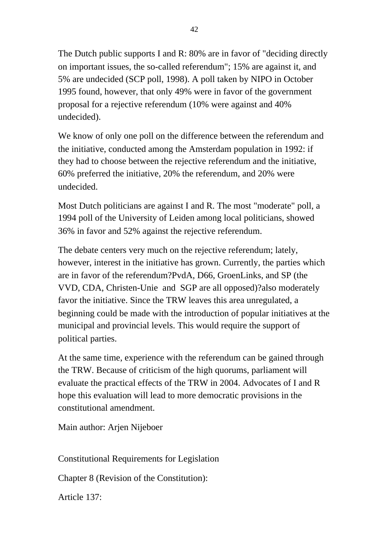The Dutch public supports I and R: 80% are in favor of "deciding directly on important issues, the so-called referendum"; 15% are against it, and 5% are undecided (SCP poll, 1998). A poll taken by NIPO in October 1995 found, however, that only 49% were in favor of the government proposal for a rejective referendum (10% were against and 40% undecided).

We know of only one poll on the difference between the referendum and the initiative, conducted among the Amsterdam population in 1992: if they had to choose between the rejective referendum and the initiative, 60% preferred the initiative, 20% the referendum, and 20% were undecided.

Most Dutch politicians are against I and R. The most "moderate" poll, a 1994 poll of the University of Leiden among local politicians, showed 36% in favor and 52% against the rejective referendum.

The debate centers very much on the rejective referendum; lately, however, interest in the initiative has grown. Currently, the parties which are in favor of the referendum?PvdA, D66, GroenLinks, and SP (the VVD, CDA, Christen-Unie and SGP are all opposed)?also moderately favor the initiative. Since the TRW leaves this area unregulated, a beginning could be made with the introduction of popular initiatives at the municipal and provincial levels. This would require the support of political parties.

At the same time, experience with the referendum can be gained through the TRW. Because of criticism of the high quorums, parliament will evaluate the practical effects of the TRW in 2004. Advocates of I and R hope this evaluation will lead to more democratic provisions in the constitutional amendment.

Main author: Arjen Nijeboer

Constitutional Requirements for Legislation

Chapter 8 (Revision of the Constitution):

Article 137: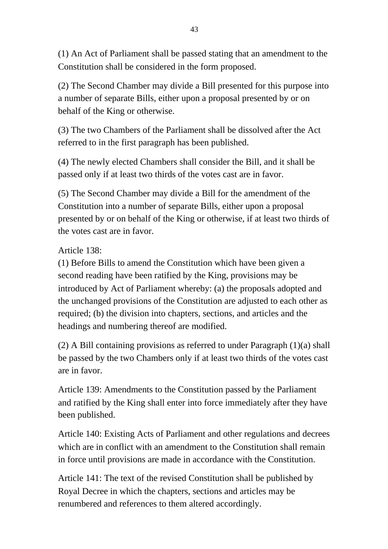(1) An Act of Parliament shall be passed stating that an amendment to the Constitution shall be considered in the form proposed.

(2) The Second Chamber may divide a Bill presented for this purpose into a number of separate Bills, either upon a proposal presented by or on behalf of the King or otherwise.

(3) The two Chambers of the Parliament shall be dissolved after the Act referred to in the first paragraph has been published.

(4) The newly elected Chambers shall consider the Bill, and it shall be passed only if at least two thirds of the votes cast are in favor.

(5) The Second Chamber may divide a Bill for the amendment of the Constitution into a number of separate Bills, either upon a proposal presented by or on behalf of the King or otherwise, if at least two thirds of the votes cast are in favor.

## Article 138:

(1) Before Bills to amend the Constitution which have been given a second reading have been ratified by the King, provisions may be introduced by Act of Parliament whereby: (a) the proposals adopted and the unchanged provisions of the Constitution are adjusted to each other as required; (b) the division into chapters, sections, and articles and the headings and numbering thereof are modified.

(2) A Bill containing provisions as referred to under Paragraph (1)(a) shall be passed by the two Chambers only if at least two thirds of the votes cast are in favor.

Article 139: Amendments to the Constitution passed by the Parliament and ratified by the King shall enter into force immediately after they have been published.

Article 140: Existing Acts of Parliament and other regulations and decrees which are in conflict with an amendment to the Constitution shall remain in force until provisions are made in accordance with the Constitution.

Article 141: The text of the revised Constitution shall be published by Royal Decree in which the chapters, sections and articles may be renumbered and references to them altered accordingly.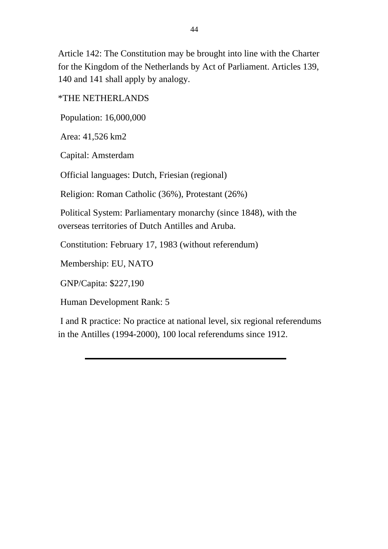Article 142: The Constitution may be brought into line with the Charter for the Kingdom of the Netherlands by Act of Parliament. Articles 139, 140 and 141 shall apply by analogy.

\*THE NETHERLANDS

Population: 16,000,000

Area: 41,526 km2

Capital: Amsterdam

Official languages: Dutch, Friesian (regional)

Religion: Roman Catholic (36%), Protestant (26%)

 Political System: Parliamentary monarchy (since 1848), with the overseas territories of Dutch Antilles and Aruba.

Constitution: February 17, 1983 (without referendum)

Membership: EU, NATO

GNP/Capita: \$227,190

Human Development Rank: 5

 I and R practice: No practice at national level, six regional referendums in the Antilles (1994-2000), 100 local referendums since 1912.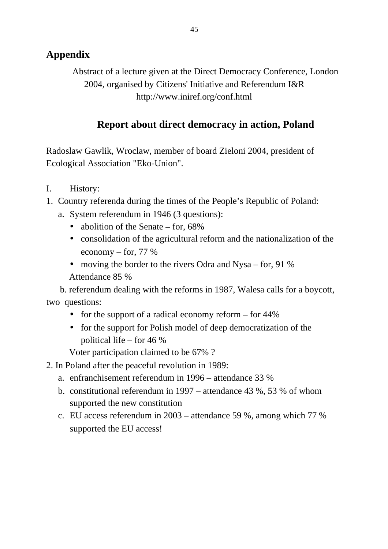# **Appendix**

Abstract of a lecture given at the Direct Democracy Conference, London 2004, organised by Citizens' Initiative and Referendum I&R <http://www.iniref.org/conf.html>

# **Report about direct democracy in action, Poland**

Radoslaw Gawlik, Wroclaw, member of board Zieloni 2004, president of Ecological Association "Eko-Union".

- I. History:
- 1. Country referenda during the times of the People's Republic of Poland:
	- a. System referendum in 1946 (3 questions):
		- abolition of the Senate for, 68%
		- consolidation of the agricultural reform and the nationalization of the economy – for, 77 %
		- moving the border to the rivers Odra and Nysa for, 91 % Attendance 85 %

 b. referendum dealing with the reforms in 1987, Walesa calls for a boycott, two questions:

- for the support of a radical economy reform for 44%
- for the support for Polish model of deep democratization of the political life – for 46 %

Voter participation claimed to be 67% ?

- 2. In Poland after the peaceful revolution in 1989:
	- a. enfranchisement referendum in 1996 attendance 33 %
	- b. constitutional referendum in 1997 attendance 43 %, 53 % of whom supported the new constitution
	- c. EU access referendum in 2003 attendance 59 %, among which 77 % supported the EU access!